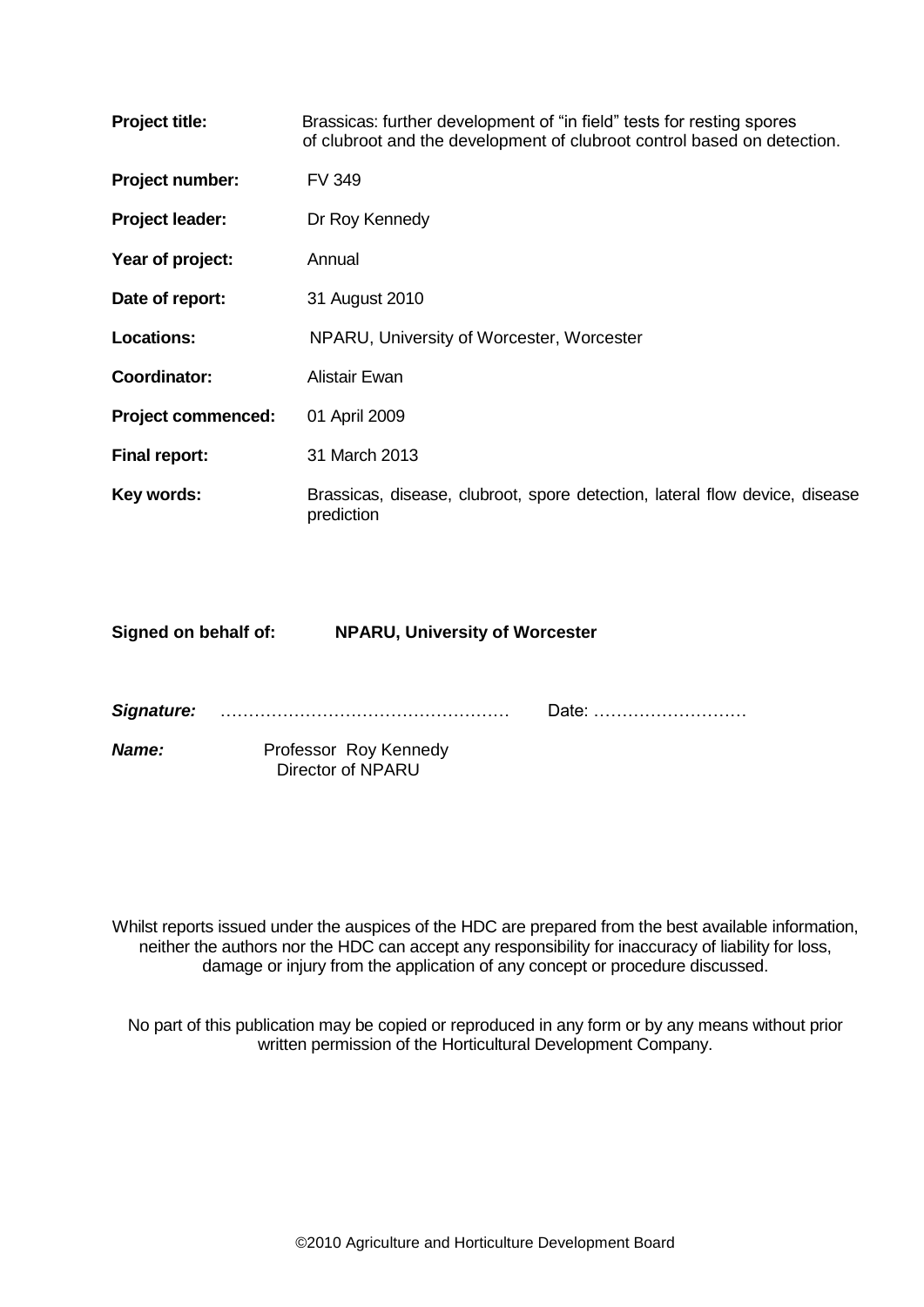| <b>Project title:</b>     | Brassicas: further development of "in field" tests for resting spores<br>of clubroot and the development of clubroot control based on detection. |
|---------------------------|--------------------------------------------------------------------------------------------------------------------------------------------------|
| Project number:           | <b>FV 349</b>                                                                                                                                    |
| Project leader:           | Dr Roy Kennedy                                                                                                                                   |
| Year of project:          | Annual                                                                                                                                           |
| Date of report:           | 31 August 2010                                                                                                                                   |
| <b>Locations:</b>         | NPARU, University of Worcester, Worcester                                                                                                        |
| Coordinator:              | Alistair Ewan                                                                                                                                    |
| <b>Project commenced:</b> | 01 April 2009                                                                                                                                    |
| <b>Final report:</b>      | 31 March 2013                                                                                                                                    |
| Key words:                | Brassicas, disease, clubroot, spore detection, lateral flow device, disease<br>prediction                                                        |

| Signed on behalf of: | <b>NPARU, University of Worcester</b> |
|----------------------|---------------------------------------|

*Signature:* …………………………………………… Date: ………………………

*Name:* Professor Roy Kennedy Director of NPARU

Whilst reports issued under the auspices of the HDC are prepared from the best available information, neither the authors nor the HDC can accept any responsibility for inaccuracy of liability for loss, damage or injury from the application of any concept or procedure discussed.

No part of this publication may be copied or reproduced in any form or by any means without prior written permission of the Horticultural Development Company.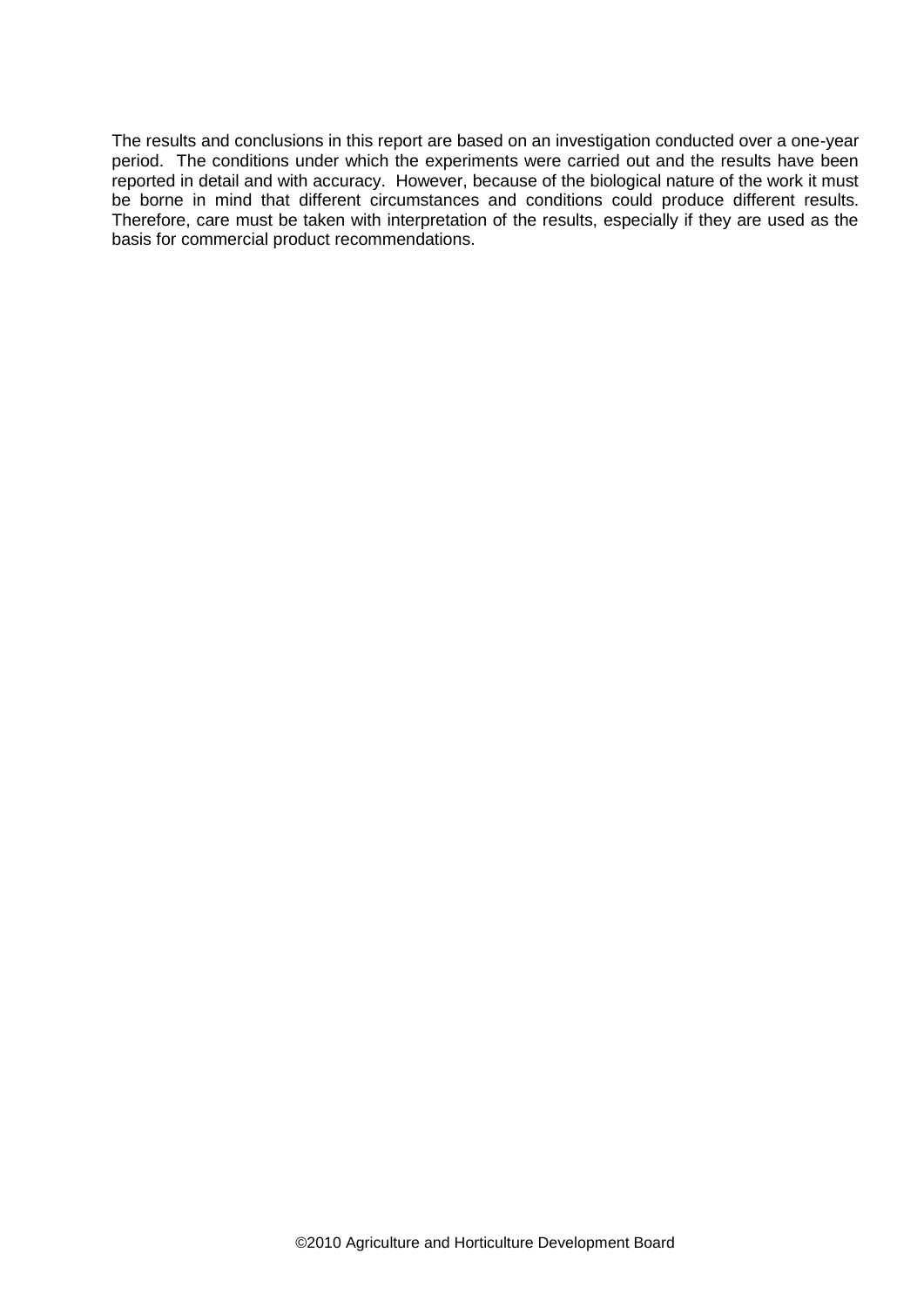The results and conclusions in this report are based on an investigation conducted over a one-year period. The conditions under which the experiments were carried out and the results have been reported in detail and with accuracy. However, because of the biological nature of the work it must be borne in mind that different circumstances and conditions could produce different results. Therefore, care must be taken with interpretation of the results, especially if they are used as the basis for commercial product recommendations.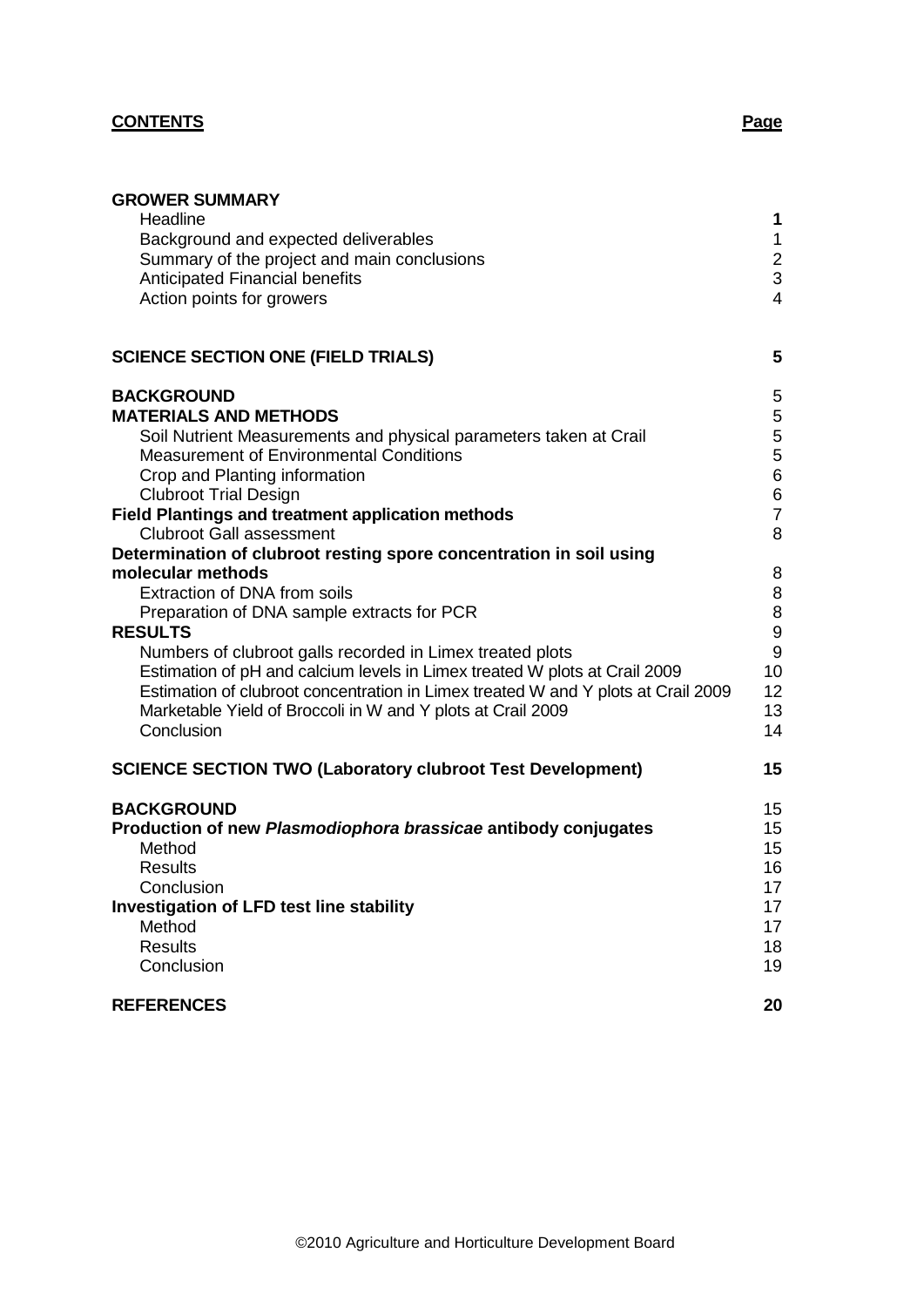## **CONTENTS Page**

| <b>GROWER SUMMARY</b>                                                             |                         |
|-----------------------------------------------------------------------------------|-------------------------|
| Headline                                                                          | 1                       |
| Background and expected deliverables                                              | $\mathbf{1}$            |
| Summary of the project and main conclusions                                       | $\boldsymbol{2}$        |
| <b>Anticipated Financial benefits</b>                                             | $\mathbf{3}$            |
| Action points for growers                                                         | $\overline{4}$          |
| <b>SCIENCE SECTION ONE (FIELD TRIALS)</b>                                         | 5                       |
| <b>BACKGROUND</b>                                                                 | 5                       |
| <b>MATERIALS AND METHODS</b>                                                      | $\mathbf 5$             |
| Soil Nutrient Measurements and physical parameters taken at Crail                 | $\mathbf 5$             |
| <b>Measurement of Environmental Conditions</b>                                    | $\mathbf 5$             |
| Crop and Planting information                                                     | $\,6\,$                 |
| <b>Clubroot Trial Design</b><br>Field Plantings and treatment application methods | $\,6$<br>$\overline{7}$ |
| <b>Clubroot Gall assessment</b>                                                   | 8                       |
| Determination of clubroot resting spore concentration in soil using               |                         |
| molecular methods                                                                 | 8                       |
| Extraction of DNA from soils                                                      | 8                       |
| Preparation of DNA sample extracts for PCR                                        | $\bf 8$                 |
| <b>RESULTS</b>                                                                    | $\boldsymbol{9}$        |
| Numbers of clubroot galls recorded in Limex treated plots                         | 9                       |
| Estimation of pH and calcium levels in Limex treated W plots at Crail 2009        | 10                      |
| Estimation of clubroot concentration in Limex treated W and Y plots at Crail 2009 | 12                      |
| Marketable Yield of Broccoli in W and Y plots at Crail 2009                       | 13                      |
| Conclusion                                                                        | 14                      |
| <b>SCIENCE SECTION TWO (Laboratory clubroot Test Development)</b>                 | 15                      |
| <b>BACKGROUND</b>                                                                 | 15                      |
| Production of new Plasmodiophora brassicae antibody conjugates                    | 15                      |
| Method                                                                            | 15                      |
| <b>Results</b>                                                                    | 16                      |
| Conclusion                                                                        | 17                      |
| <b>Investigation of LFD test line stability</b>                                   | 17                      |
| Method                                                                            | 17                      |
| <b>Results</b>                                                                    | 18                      |
| Conclusion                                                                        | 19                      |
| <b>REFERENCES</b>                                                                 | 20                      |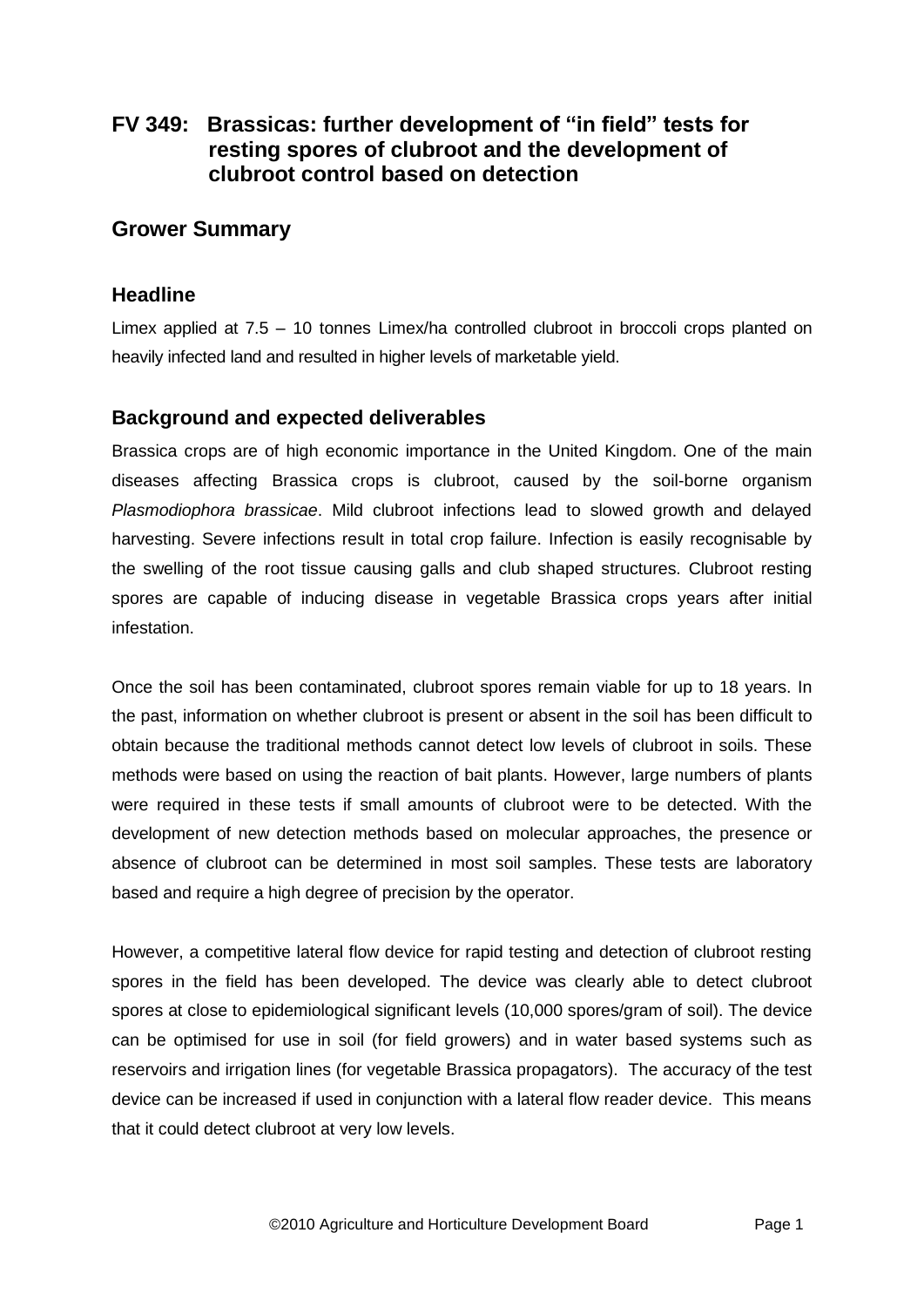# **FV 349: Brassicas: further development of "in field" tests for resting spores of clubroot and the development of clubroot control based on detection**

## **Grower Summary**

## **Headline**

Limex applied at 7.5 – 10 tonnes Limex/ha controlled clubroot in broccoli crops planted on heavily infected land and resulted in higher levels of marketable yield.

## **Background and expected deliverables**

Brassica crops are of high economic importance in the United Kingdom. One of the main diseases affecting Brassica crops is clubroot, caused by the soil-borne organism *Plasmodiophora brassicae*. Mild clubroot infections lead to slowed growth and delayed harvesting. Severe infections result in total crop failure. Infection is easily recognisable by the swelling of the root tissue causing galls and club shaped structures. Clubroot resting spores are capable of inducing disease in vegetable Brassica crops years after initial infestation.

Once the soil has been contaminated, clubroot spores remain viable for up to 18 years. In the past, information on whether clubroot is present or absent in the soil has been difficult to obtain because the traditional methods cannot detect low levels of clubroot in soils. These methods were based on using the reaction of bait plants. However, large numbers of plants were required in these tests if small amounts of clubroot were to be detected. With the development of new detection methods based on molecular approaches, the presence or absence of clubroot can be determined in most soil samples. These tests are laboratory based and require a high degree of precision by the operator.

However, a competitive lateral flow device for rapid testing and detection of clubroot resting spores in the field has been developed. The device was clearly able to detect clubroot spores at close to epidemiological significant levels (10,000 spores/gram of soil). The device can be optimised for use in soil (for field growers) and in water based systems such as reservoirs and irrigation lines (for vegetable Brassica propagators). The accuracy of the test device can be increased if used in conjunction with a lateral flow reader device. This means that it could detect clubroot at very low levels.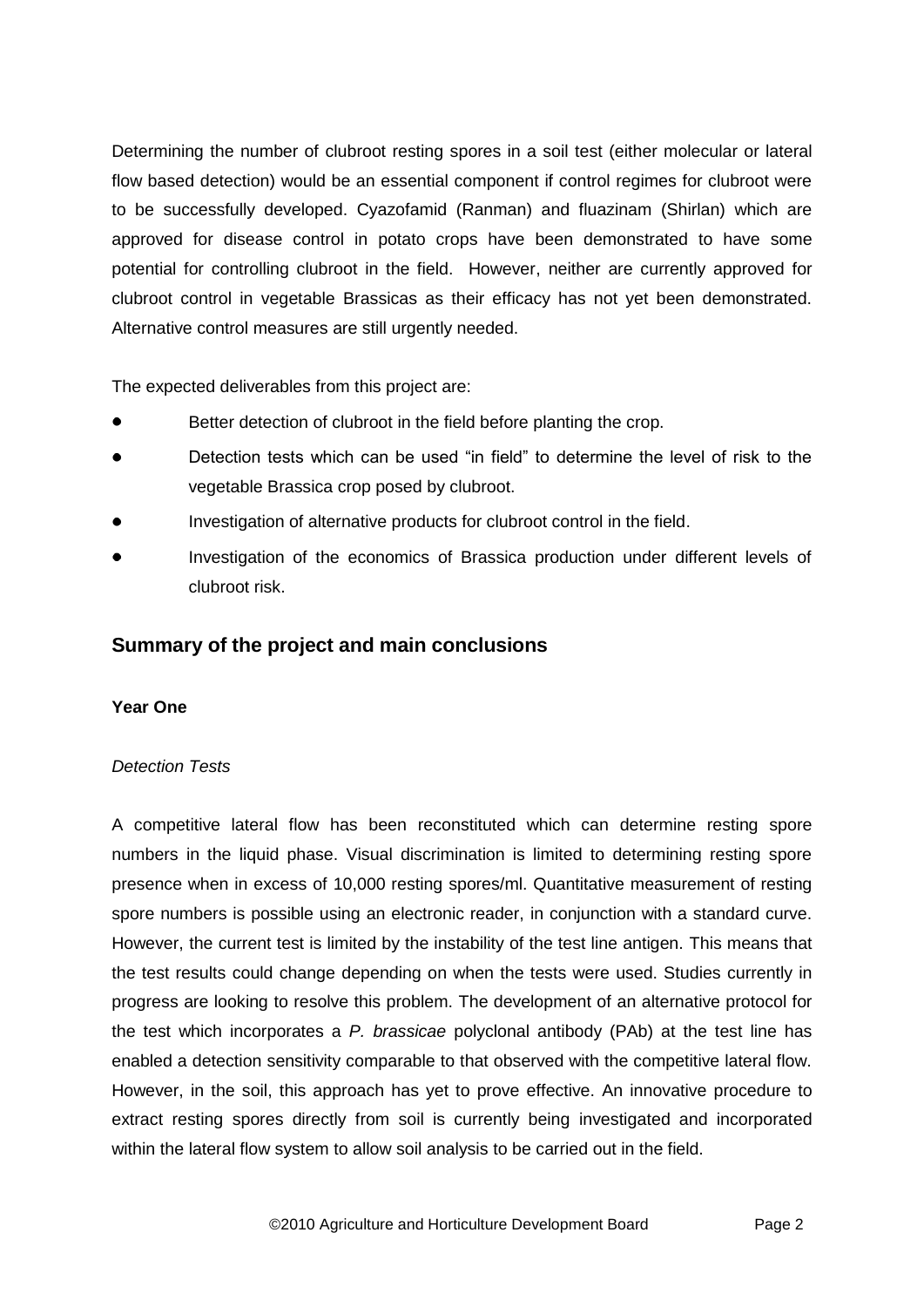Determining the number of clubroot resting spores in a soil test (either molecular or lateral flow based detection) would be an essential component if control regimes for clubroot were to be successfully developed. Cyazofamid (Ranman) and fluazinam (Shirlan) which are approved for disease control in potato crops have been demonstrated to have some potential for controlling clubroot in the field. However, neither are currently approved for clubroot control in vegetable Brassicas as their efficacy has not yet been demonstrated. Alternative control measures are still urgently needed.

The expected deliverables from this project are:

- Better detection of clubroot in the field before planting the crop.
- Detection tests which can be used "in field" to determine the level of risk to the vegetable Brassica crop posed by clubroot.
- Investigation of alternative products for clubroot control in the field.
- Investigation of the economics of Brassica production under different levels of clubroot risk.

## **Summary of the project and main conclusions**

## **Year One**

## *Detection Tests*

A competitive lateral flow has been reconstituted which can determine resting spore numbers in the liquid phase. Visual discrimination is limited to determining resting spore presence when in excess of 10,000 resting spores/ml. Quantitative measurement of resting spore numbers is possible using an electronic reader, in conjunction with a standard curve. However, the current test is limited by the instability of the test line antigen. This means that the test results could change depending on when the tests were used. Studies currently in progress are looking to resolve this problem. The development of an alternative protocol for the test which incorporates a *P. brassicae* polyclonal antibody (PAb) at the test line has enabled a detection sensitivity comparable to that observed with the competitive lateral flow. However, in the soil, this approach has yet to prove effective. An innovative procedure to extract resting spores directly from soil is currently being investigated and incorporated within the lateral flow system to allow soil analysis to be carried out in the field.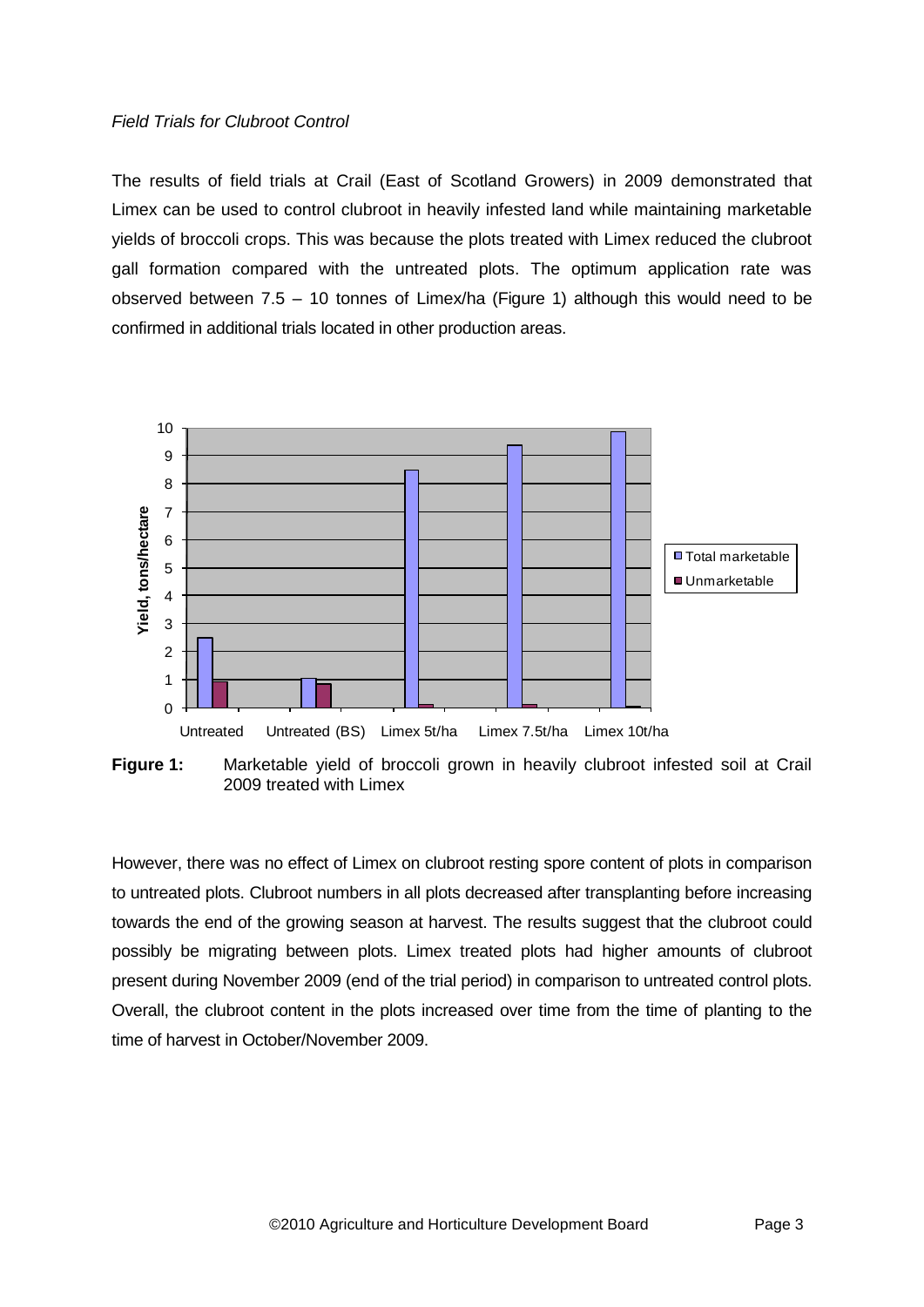### *Field Trials for Clubroot Control*

The results of field trials at Crail (East of Scotland Growers) in 2009 demonstrated that Limex can be used to control clubroot in heavily infested land while maintaining marketable yields of broccoli crops. This was because the plots treated with Limex reduced the clubroot gall formation compared with the untreated plots. The optimum application rate was observed between 7.5 – 10 tonnes of Limex/ha (Figure 1) although this would need to be confirmed in additional trials located in other production areas.



**Figure 1:** Marketable yield of broccoli grown in heavily clubroot infested soil at Crail 2009 treated with Limex

However, there was no effect of Limex on clubroot resting spore content of plots in comparison to untreated plots. Clubroot numbers in all plots decreased after transplanting before increasing towards the end of the growing season at harvest. The results suggest that the clubroot could possibly be migrating between plots. Limex treated plots had higher amounts of clubroot present during November 2009 (end of the trial period) in comparison to untreated control plots. Overall, the clubroot content in the plots increased over time from the time of planting to the time of harvest in October/November 2009.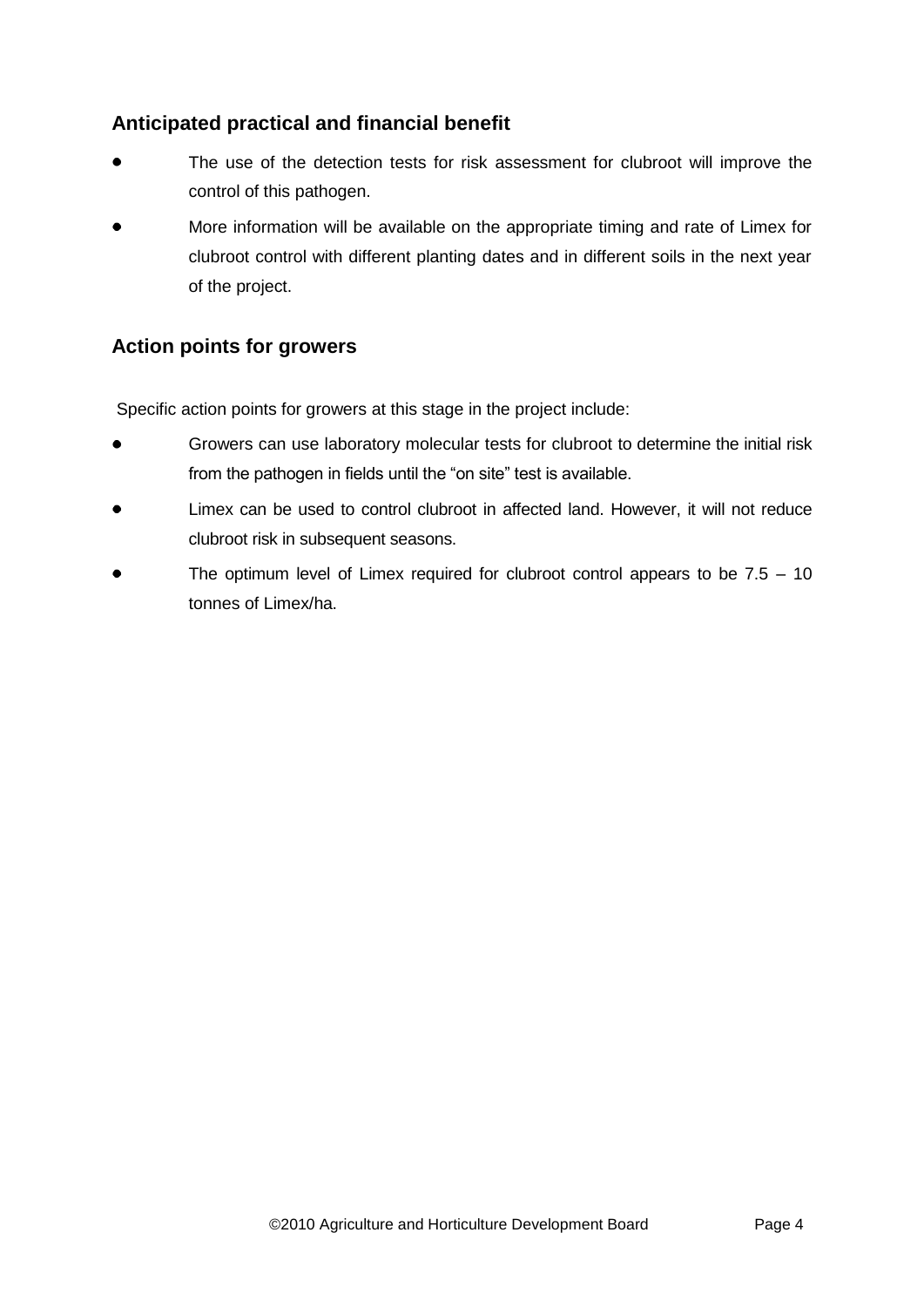# **Anticipated practical and financial benefit**

- The use of the detection tests for risk assessment for clubroot will improve the control of this pathogen.
- More information will be available on the appropriate timing and rate of Limex for clubroot control with different planting dates and in different soils in the next year of the project.

# **Action points for growers**

Specific action points for growers at this stage in the project include:

- Growers can use laboratory molecular tests for clubroot to determine the initial risk from the pathogen in fields until the "on site" test is available.
- Limex can be used to control clubroot in affected land. However, it will not reduce clubroot risk in subsequent seasons.
- The optimum level of Limex required for clubroot control appears to be 7.5 10 tonnes of Limex/ha.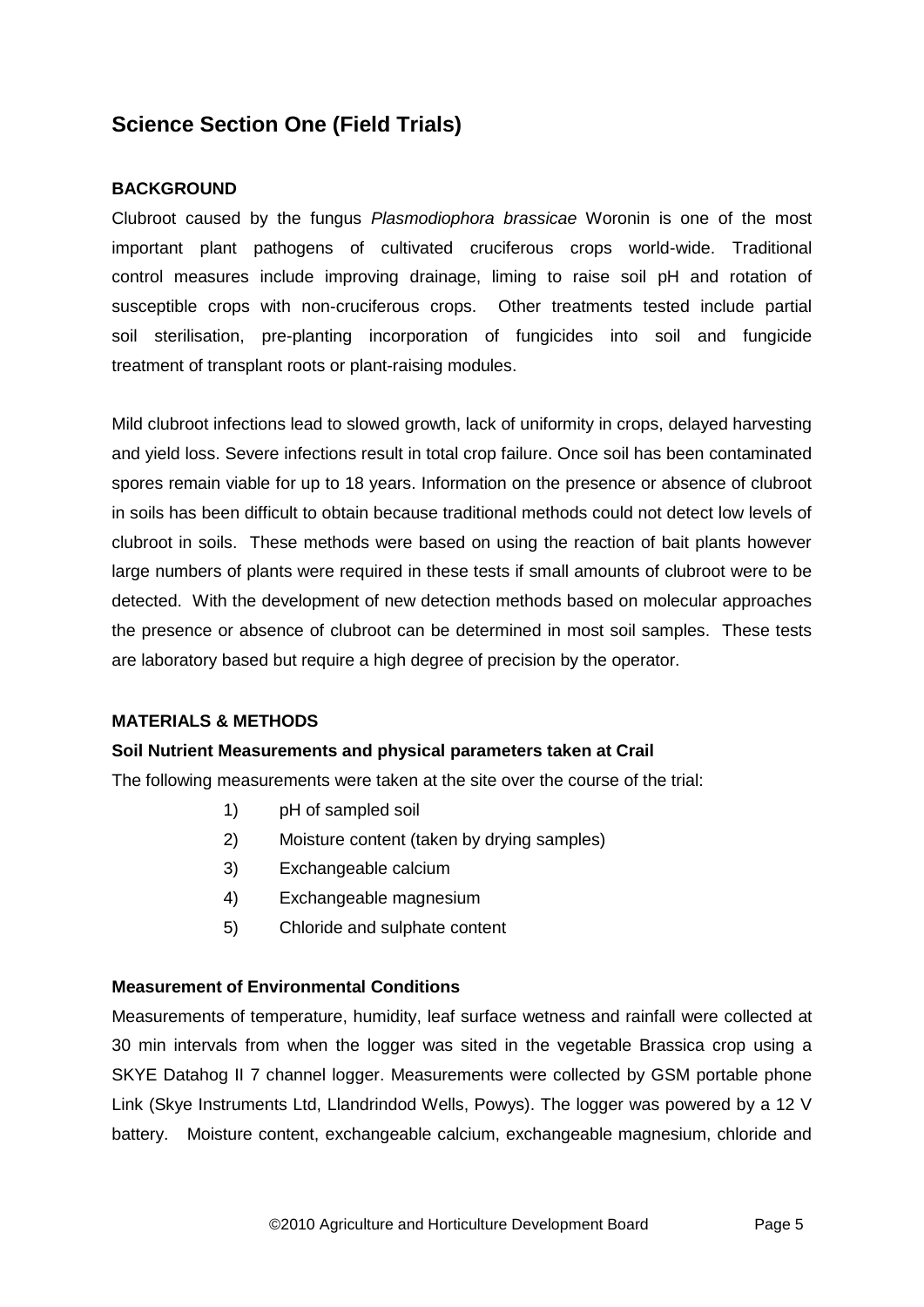# **Science Section One (Field Trials)**

### **BACKGROUND**

Clubroot caused by the fungus *Plasmodiophora brassicae* Woronin is one of the most important plant pathogens of cultivated cruciferous crops world-wide. Traditional control measures include improving drainage, liming to raise soil pH and rotation of susceptible crops with non-cruciferous crops. Other treatments tested include partial soil sterilisation, pre-planting incorporation of fungicides into soil and fungicide treatment of transplant roots or plant-raising modules.

Mild clubroot infections lead to slowed growth, lack of uniformity in crops, delayed harvesting and yield loss. Severe infections result in total crop failure. Once soil has been contaminated spores remain viable for up to 18 years. Information on the presence or absence of clubroot in soils has been difficult to obtain because traditional methods could not detect low levels of clubroot in soils. These methods were based on using the reaction of bait plants however large numbers of plants were required in these tests if small amounts of clubroot were to be detected. With the development of new detection methods based on molecular approaches the presence or absence of clubroot can be determined in most soil samples. These tests are laboratory based but require a high degree of precision by the operator.

### **MATERIALS & METHODS**

### **Soil Nutrient Measurements and physical parameters taken at Crail**

The following measurements were taken at the site over the course of the trial:

- 1) pH of sampled soil
- 2) Moisture content (taken by drying samples)
- 3) Exchangeable calcium
- 4) Exchangeable magnesium
- 5) Chloride and sulphate content

### **Measurement of Environmental Conditions**

Measurements of temperature, humidity, leaf surface wetness and rainfall were collected at 30 min intervals from when the logger was sited in the vegetable Brassica crop using a SKYE Datahog II 7 channel logger. Measurements were collected by GSM portable phone Link (Skye Instruments Ltd, Llandrindod Wells, Powys). The logger was powered by a 12 V battery. Moisture content, exchangeable calcium, exchangeable magnesium, chloride and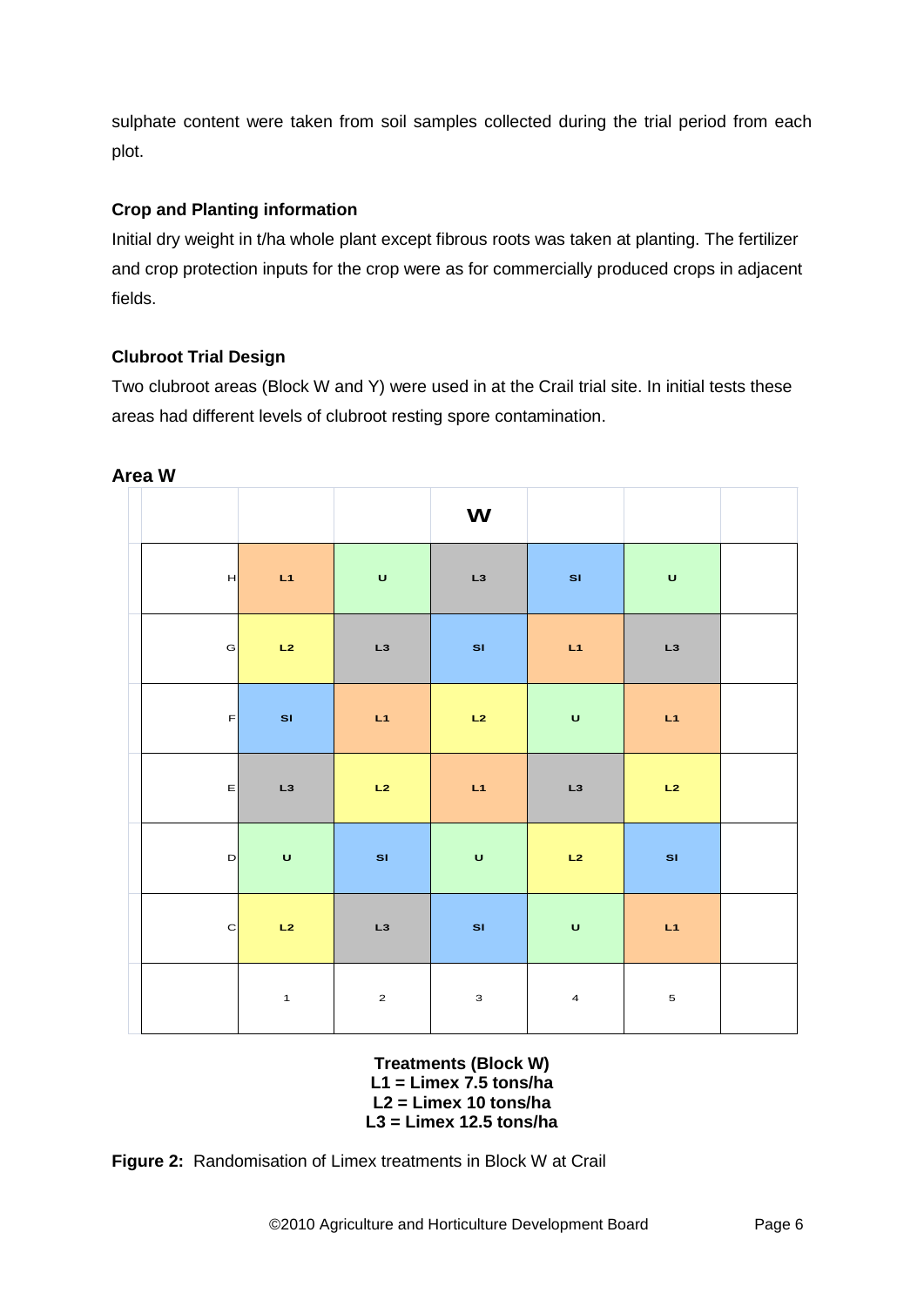sulphate content were taken from soil samples collected during the trial period from each plot.

## **Crop and Planting information**

Initial dry weight in t/ha whole plant except fibrous roots was taken at planting. The fertilizer and crop protection inputs for the crop were as for commercially produced crops in adjacent fields.

## **Clubroot Trial Design**

Two clubroot areas (Block W and Y) were used in at the Crail trial site. In initial tests these areas had different levels of clubroot resting spore contamination.

|              |              |                         | W            |                   |              |  |
|--------------|--------------|-------------------------|--------------|-------------------|--------------|--|
| H            | $-L1$        | $\overline{\mathbf{u}}$ | L3           | $\blacksquare$ SI | $\mathbf U$  |  |
| G            | L2           | L3                      | SI           | L1                | L3           |  |
| F            | SI           | L1                      | L2           | $\mathbf U$       | L1           |  |
| _ ∈          | L3           | $-L2$                   | $-L1$        | L3                | L2           |  |
| D            | $\mathbf U$  | $\mathbf{s}$            | $\mathbf U$  | L2                | $\mathbf{S}$ |  |
| $\mathbf{C}$ | L2           | L3                      | SI           | $\mathsf{U}$      | L1           |  |
|              | $\mathbf{1}$ | $\mathbf{2}$            | $\mathbf{3}$ | $\overline{4}$    | $\mathbf 5$  |  |

**Area W**

**Treatments (Block W) L1 = Limex 7.5 tons/ha L2 = Limex 10 tons/ha L3 = Limex 12.5 tons/ha**

**Figure 2:** Randomisation of Limex treatments in Block W at Crail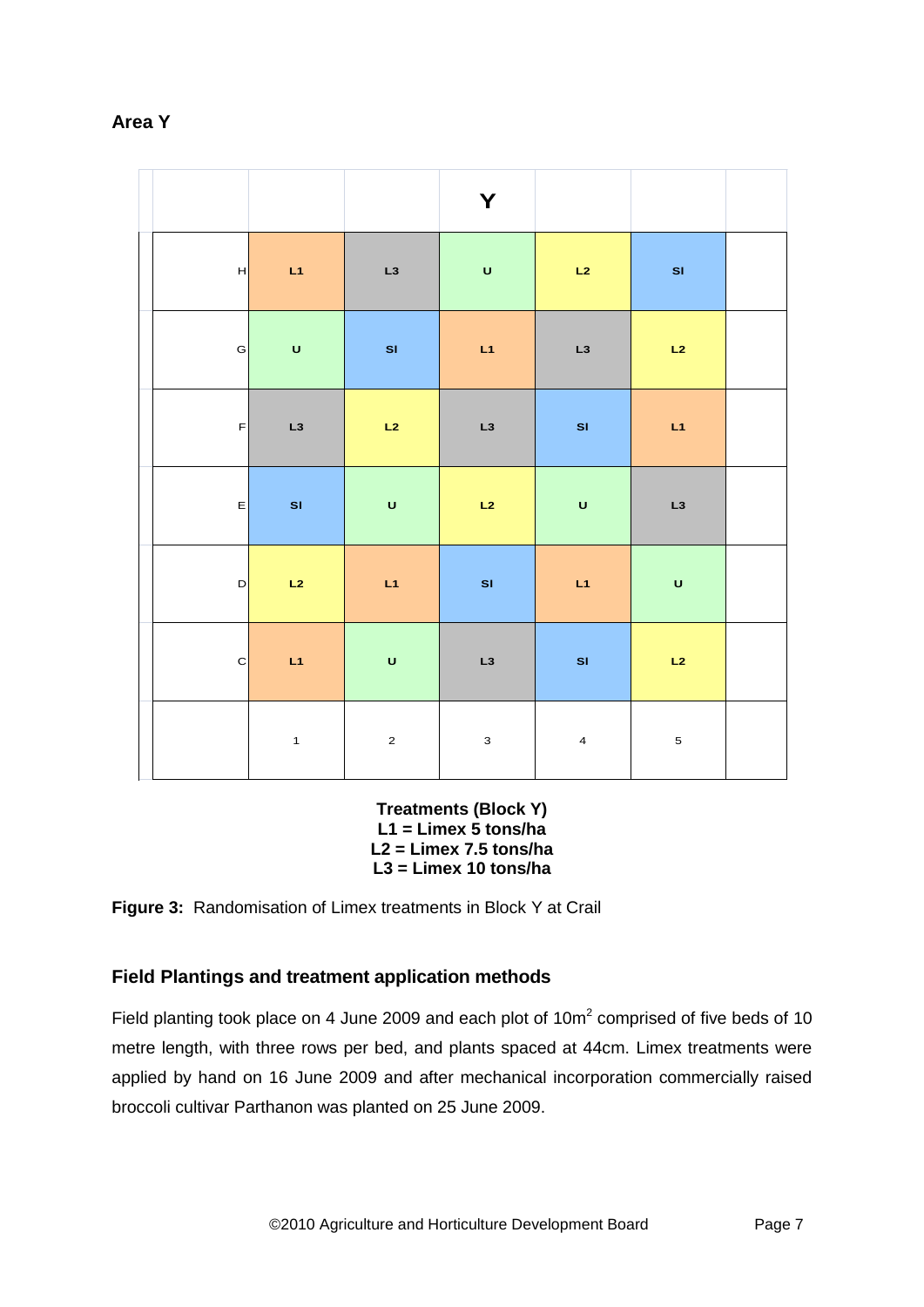|              |                                                                                                            |             | Y            |                                                                                                            |              |  |
|--------------|------------------------------------------------------------------------------------------------------------|-------------|--------------|------------------------------------------------------------------------------------------------------------|--------------|--|
| H            | $-L1$                                                                                                      | L3          | $\mathsf{U}$ | L2                                                                                                         | SI           |  |
| $\mathsf{G}$ | $\mathsf{U}% _{T}=\mathsf{U}_{T}\!\left( a,b\right) ,\ \mathsf{U}_{T}=\mathsf{U}_{T}\!\left( a,b\right) ,$ | SI          | L1           | L3                                                                                                         | L2           |  |
| F            | L3                                                                                                         | L2          | L3           | SI                                                                                                         | L1           |  |
| E            | SI                                                                                                         | $\mathbf U$ | L2           | $\mathsf{U}% _{T}=\mathsf{U}_{T}\!\left( a,b\right) ,\ \mathsf{U}_{T}=\mathsf{U}_{T}\!\left( a,b\right) ,$ | L3           |  |
| D            | L2                                                                                                         | L1          | SI           | L1                                                                                                         | $\mathsf{U}$ |  |
| c            | $-L1$                                                                                                      | $\mathbf U$ | L3           | SI                                                                                                         | L2           |  |
|              | $\mathbf{1}$                                                                                               | $\mathbf 2$ | $\mathbf{3}$ | $\overline{4}$                                                                                             | $\mathbf 5$  |  |

## **Area Y**

**Treatments (Block Y) L1 = Limex 5 tons/ha L2 = Limex 7.5 tons/ha L3 = Limex 10 tons/ha**

**Figure 3:** Randomisation of Limex treatments in Block Y at Crail

## **Field Plantings and treatment application methods**

Field planting took place on 4 June 2009 and each plot of  $10m^2$  comprised of five beds of 10 metre length, with three rows per bed, and plants spaced at 44cm. Limex treatments were applied by hand on 16 June 2009 and after mechanical incorporation commercially raised broccoli cultivar Parthanon was planted on 25 June 2009.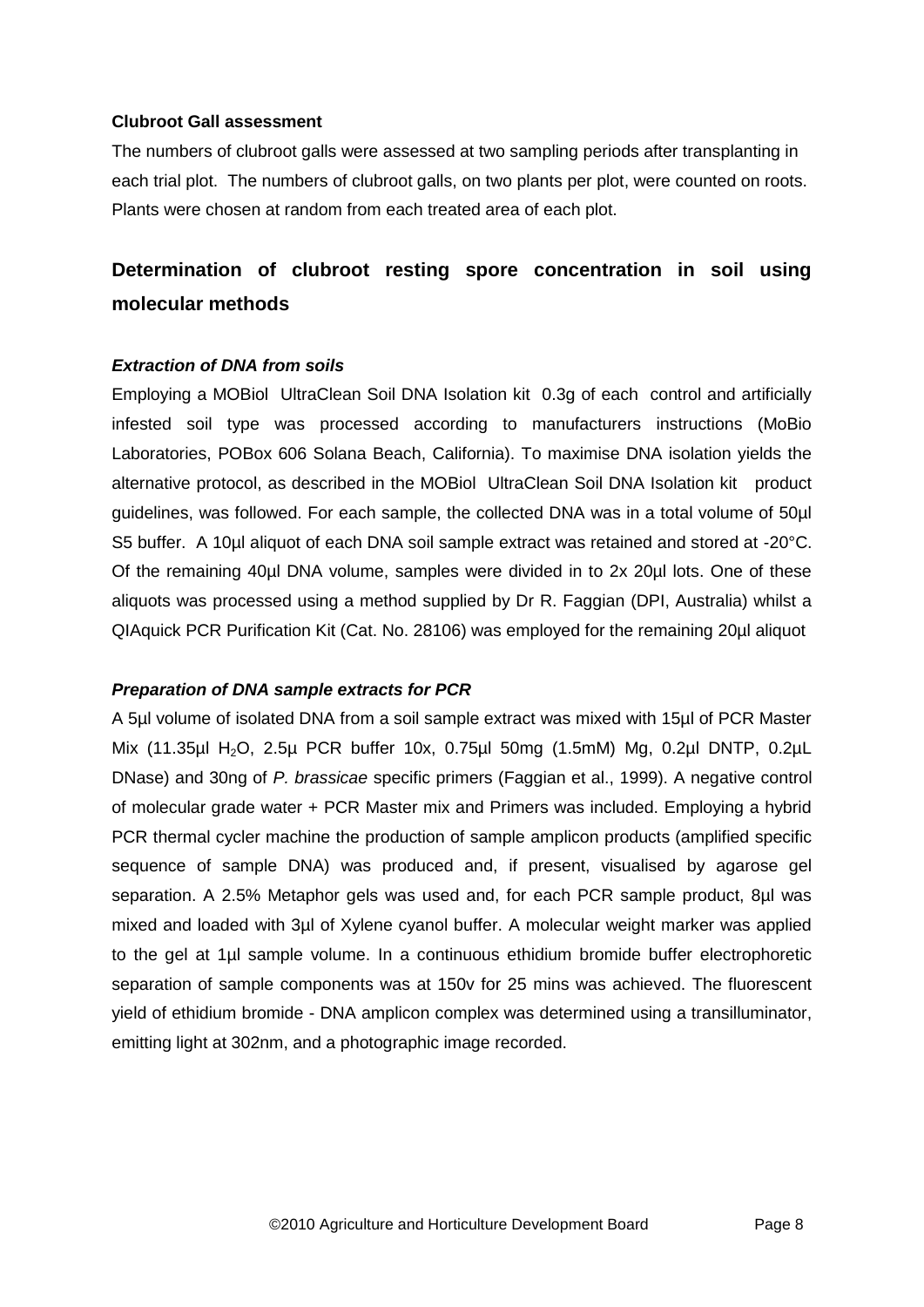### **Clubroot Gall assessment**

The numbers of clubroot galls were assessed at two sampling periods after transplanting in each trial plot. The numbers of clubroot galls, on two plants per plot, were counted on roots. Plants were chosen at random from each treated area of each plot.

# **Determination of clubroot resting spore concentration in soil using molecular methods**

## *Extraction of DNA from soils*

Employing a MOBiol UltraClean Soil DNA Isolation kit 0.3g of each control and artificially infested soil type was processed according to manufacturers instructions (MoBio Laboratories, POBox 606 Solana Beach, California). To maximise DNA isolation yields the alternative protocol, as described in the MOBiol UltraClean Soil DNA Isolation kit product guidelines, was followed. For each sample, the collected DNA was in a total volume of 50µl S5 buffer. A 10µl aliquot of each DNA soil sample extract was retained and stored at -20°C. Of the remaining 40µl DNA volume, samples were divided in to 2x 20µl lots. One of these aliquots was processed using a method supplied by Dr R. Faggian (DPI, Australia) whilst a QIAquick PCR Purification Kit (Cat. No. 28106) was employed for the remaining 20µl aliquot

### *Preparation of DNA sample extracts for PCR*

A 5µl volume of isolated DNA from a soil sample extract was mixed with 15µl of PCR Master Mix (11.35µl H2O, 2.5µ PCR buffer 10x, 0.75µl 50mg (1.5mM) Mg, 0.2µl DNTP, 0.2µL DNase) and 30ng of *P. brassicae* specific primers (Faggian et al., 1999). A negative control of molecular grade water + PCR Master mix and Primers was included. Employing a hybrid PCR thermal cycler machine the production of sample amplicon products (amplified specific sequence of sample DNA) was produced and, if present, visualised by agarose gel separation. A 2.5% Metaphor gels was used and, for each PCR sample product, 8µl was mixed and loaded with 3µl of Xylene cyanol buffer. A molecular weight marker was applied to the gel at 1µl sample volume. In a continuous ethidium bromide buffer electrophoretic separation of sample components was at 150v for 25 mins was achieved. The fluorescent yield of ethidium bromide - DNA amplicon complex was determined using a transilluminator, emitting light at 302nm, and a photographic image recorded.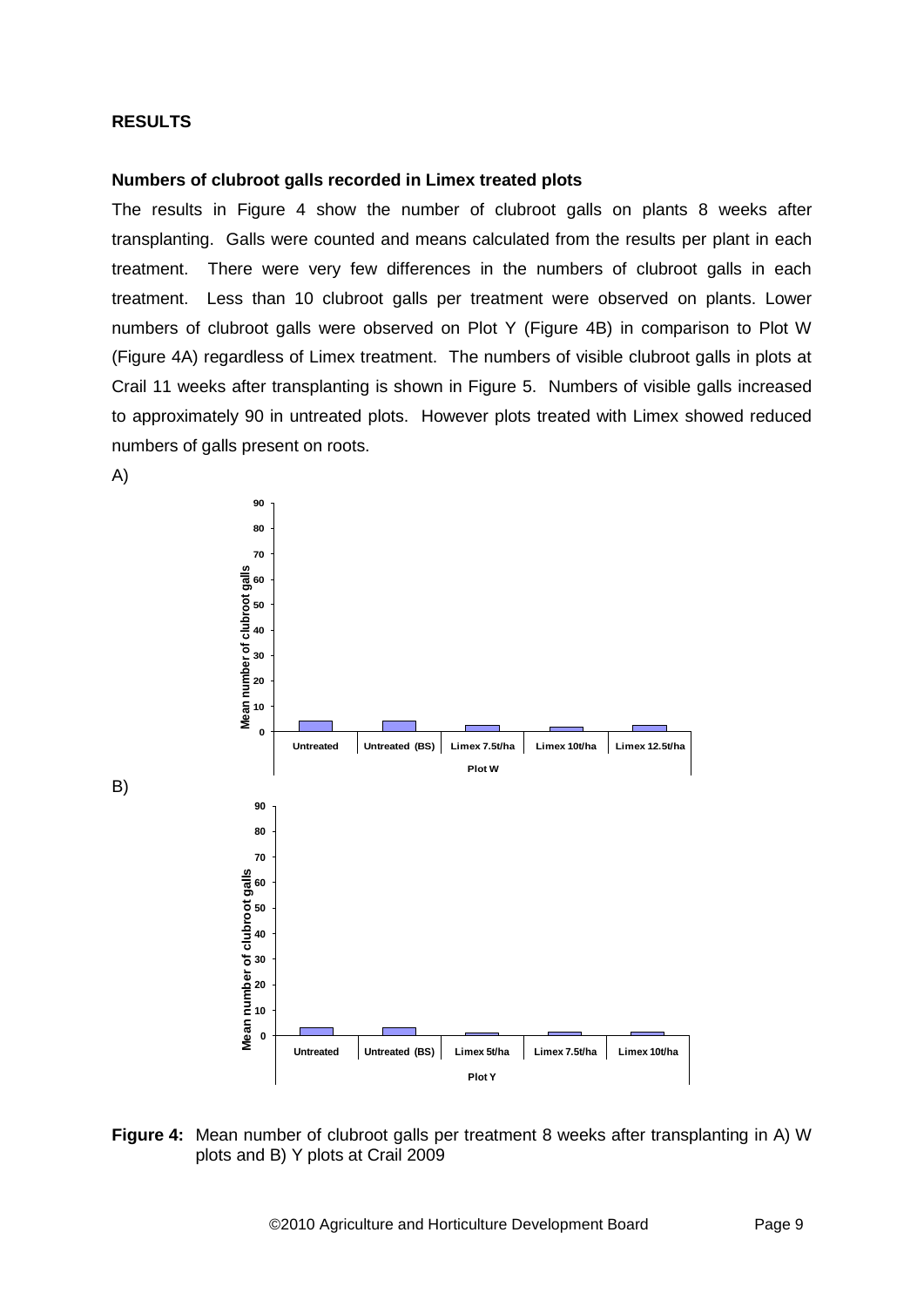#### **RESULTS**

#### **Numbers of clubroot galls recorded in Limex treated plots**

The results in Figure 4 show the number of clubroot galls on plants 8 weeks after transplanting. Galls were counted and means calculated from the results per plant in each treatment. There were very few differences in the numbers of clubroot galls in each treatment. Less than 10 clubroot galls per treatment were observed on plants. Lower numbers of clubroot galls were observed on Plot Y (Figure 4B) in comparison to Plot W (Figure 4A) regardless of Limex treatment. The numbers of visible clubroot galls in plots at Crail 11 weeks after transplanting is shown in Figure 5. Numbers of visible galls increased to approximately 90 in untreated plots. However plots treated with Limex showed reduced numbers of galls present on roots.



**Figure 4:** Mean number of clubroot galls per treatment 8 weeks after transplanting in A) W plots and B) Y plots at Crail 2009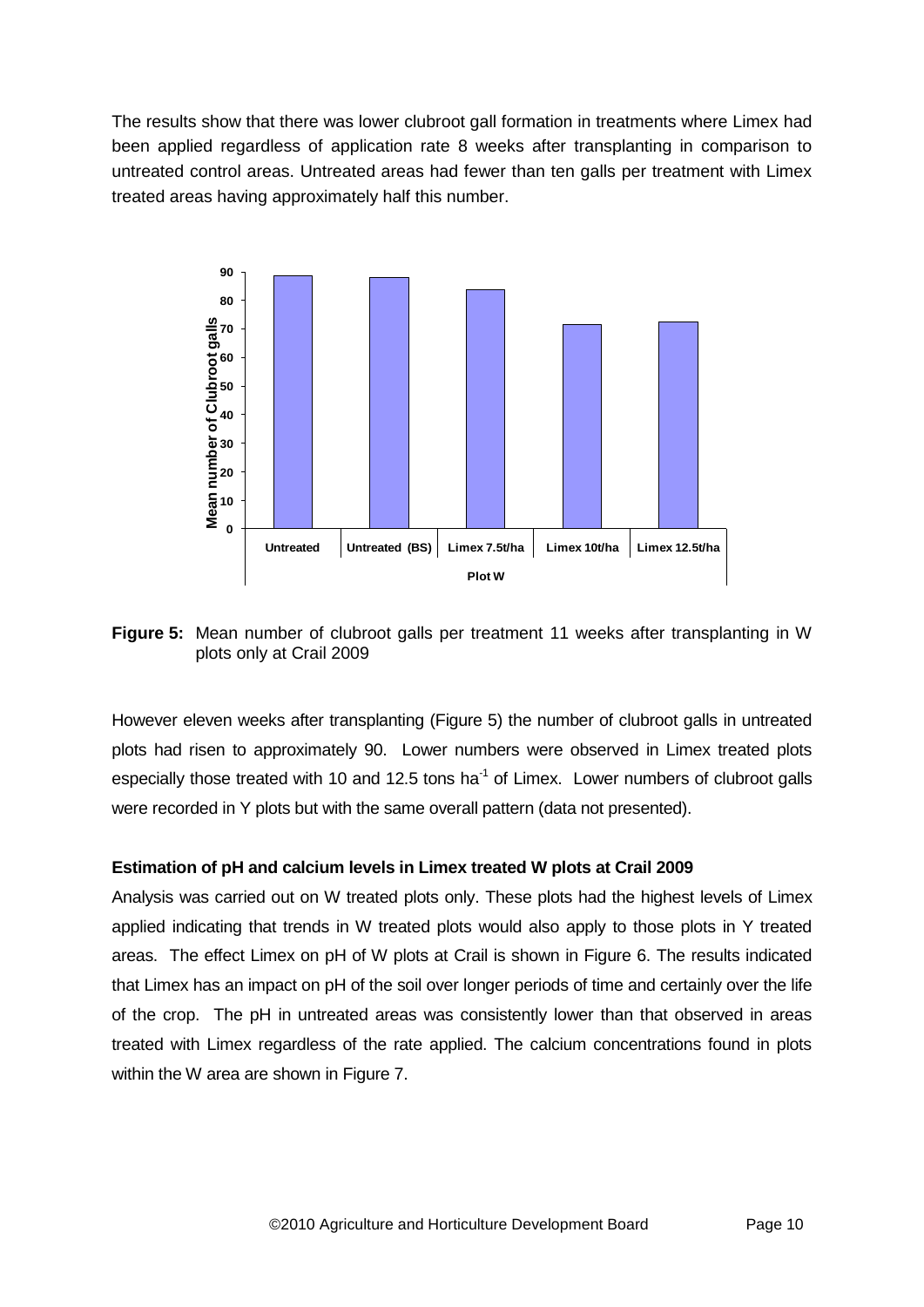The results show that there was lower clubroot gall formation in treatments where Limex had been applied regardless of application rate 8 weeks after transplanting in comparison to untreated control areas. Untreated areas had fewer than ten galls per treatment with Limex treated areas having approximately half this number.



**Figure 5:** Mean number of clubroot galls per treatment 11 weeks after transplanting in W plots only at Crail 2009

However eleven weeks after transplanting (Figure 5) the number of clubroot galls in untreated plots had risen to approximately 90. Lower numbers were observed in Limex treated plots especially those treated with 10 and 12.5 tons ha<sup>-1</sup> of Limex. Lower numbers of clubroot galls were recorded in Y plots but with the same overall pattern (data not presented).

## **Estimation of pH and calcium levels in Limex treated W plots at Crail 2009**

Analysis was carried out on W treated plots only. These plots had the highest levels of Limex applied indicating that trends in W treated plots would also apply to those plots in Y treated areas. The effect Limex on pH of W plots at Crail is shown in Figure 6. The results indicated that Limex has an impact on pH of the soil over longer periods of time and certainly over the life of the crop. The pH in untreated areas was consistently lower than that observed in areas treated with Limex regardless of the rate applied. The calcium concentrations found in plots within the W area are shown in Figure 7.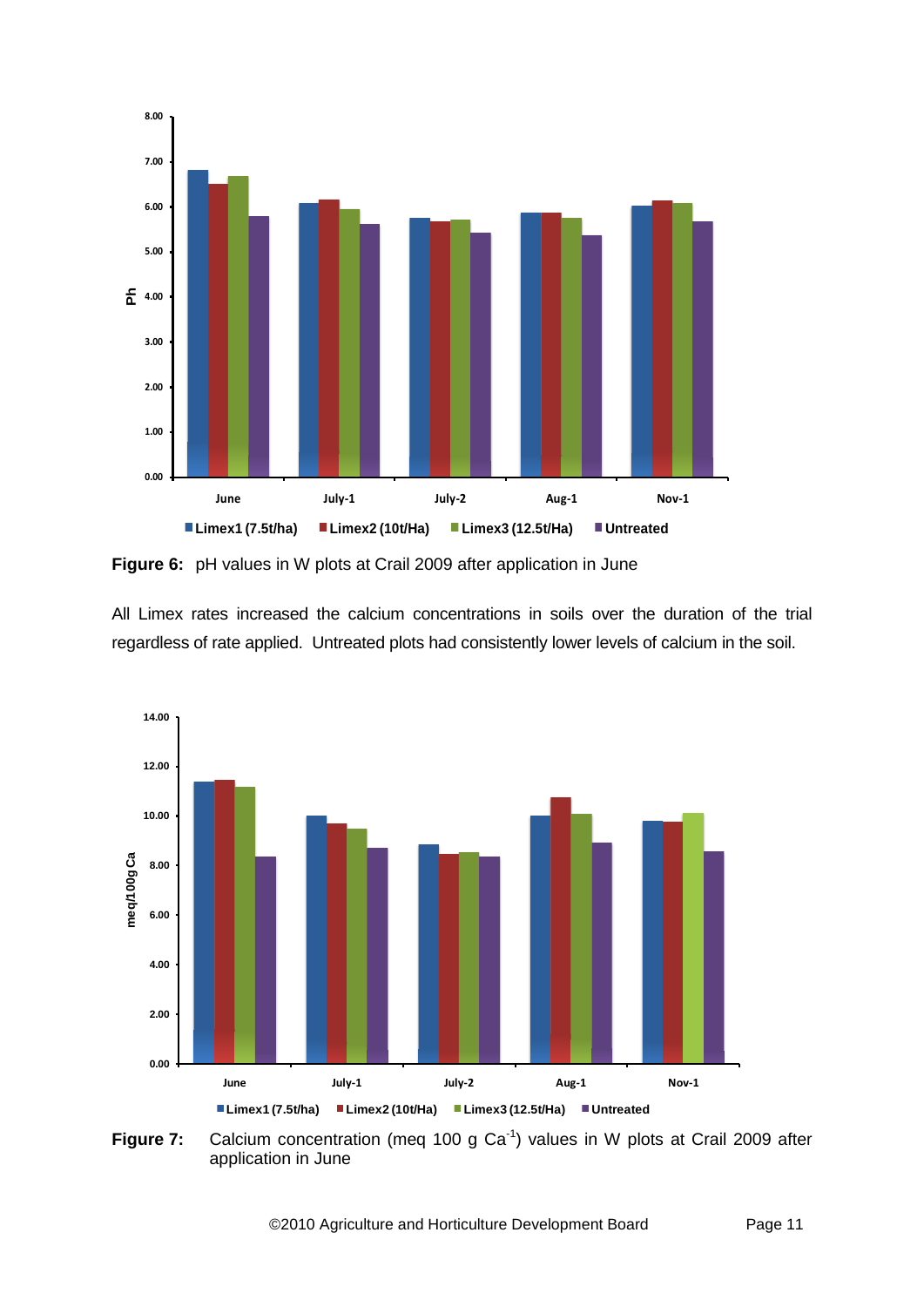

**Figure 6:** pH values in W plots at Crail 2009 after application in June

All Limex rates increased the calcium concentrations in soils over the duration of the trial regardless of rate applied. Untreated plots had consistently lower levels of calcium in the soil.



**Figure 7:** Calcium concentration (meq 100 g Ca<sup>-1</sup>) values in W plots at Crail 2009 after application in June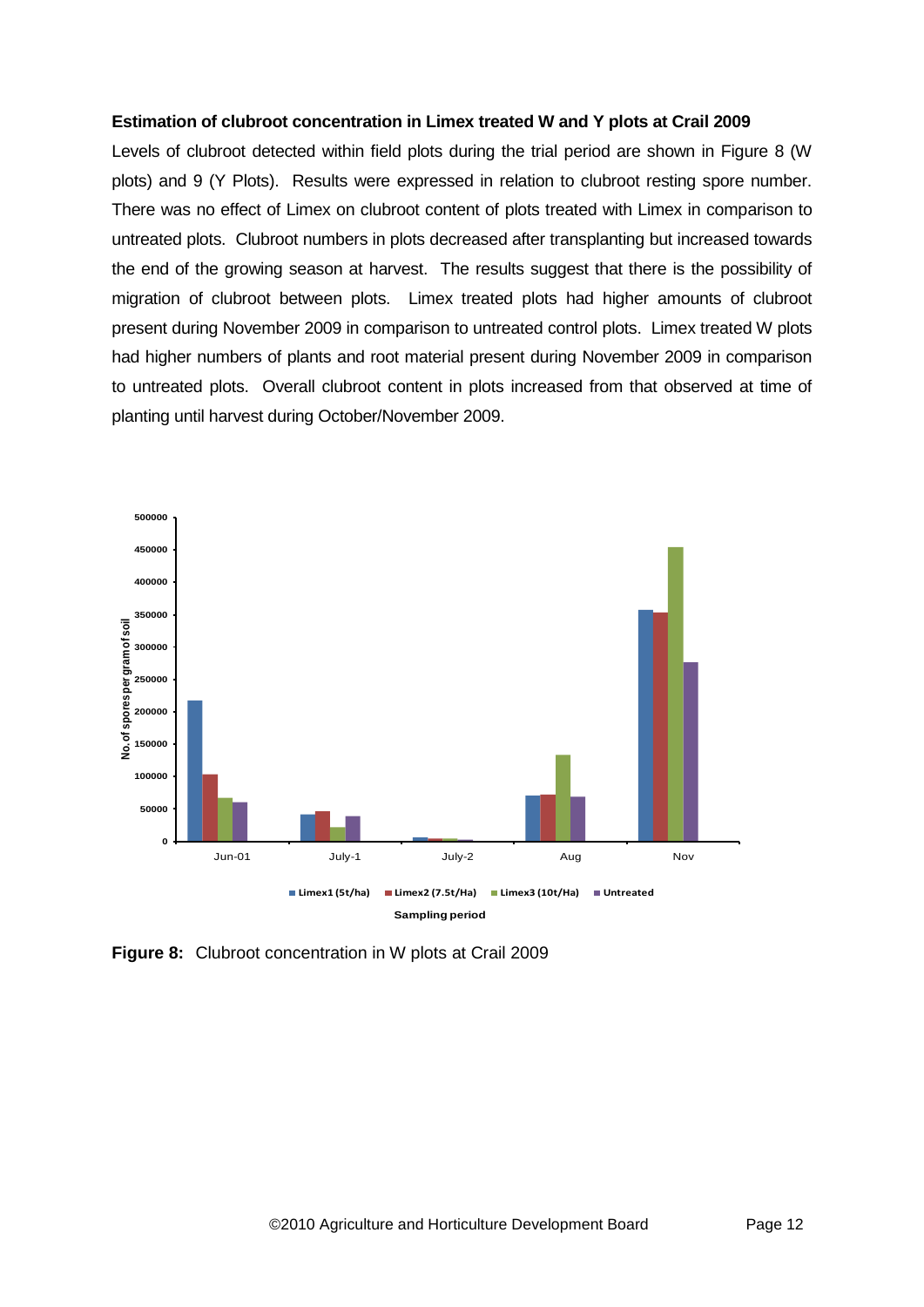#### **Estimation of clubroot concentration in Limex treated W and Y plots at Crail 2009**

Levels of clubroot detected within field plots during the trial period are shown in Figure 8 (W plots) and 9 (Y Plots). Results were expressed in relation to clubroot resting spore number. There was no effect of Limex on clubroot content of plots treated with Limex in comparison to untreated plots. Clubroot numbers in plots decreased after transplanting but increased towards the end of the growing season at harvest. The results suggest that there is the possibility of migration of clubroot between plots. Limex treated plots had higher amounts of clubroot present during November 2009 in comparison to untreated control plots. Limex treated W plots had higher numbers of plants and root material present during November 2009 in comparison to untreated plots. Overall clubroot content in plots increased from that observed at time of planting until harvest during October/November 2009.



**Figure 8:** Clubroot concentration in W plots at Crail 2009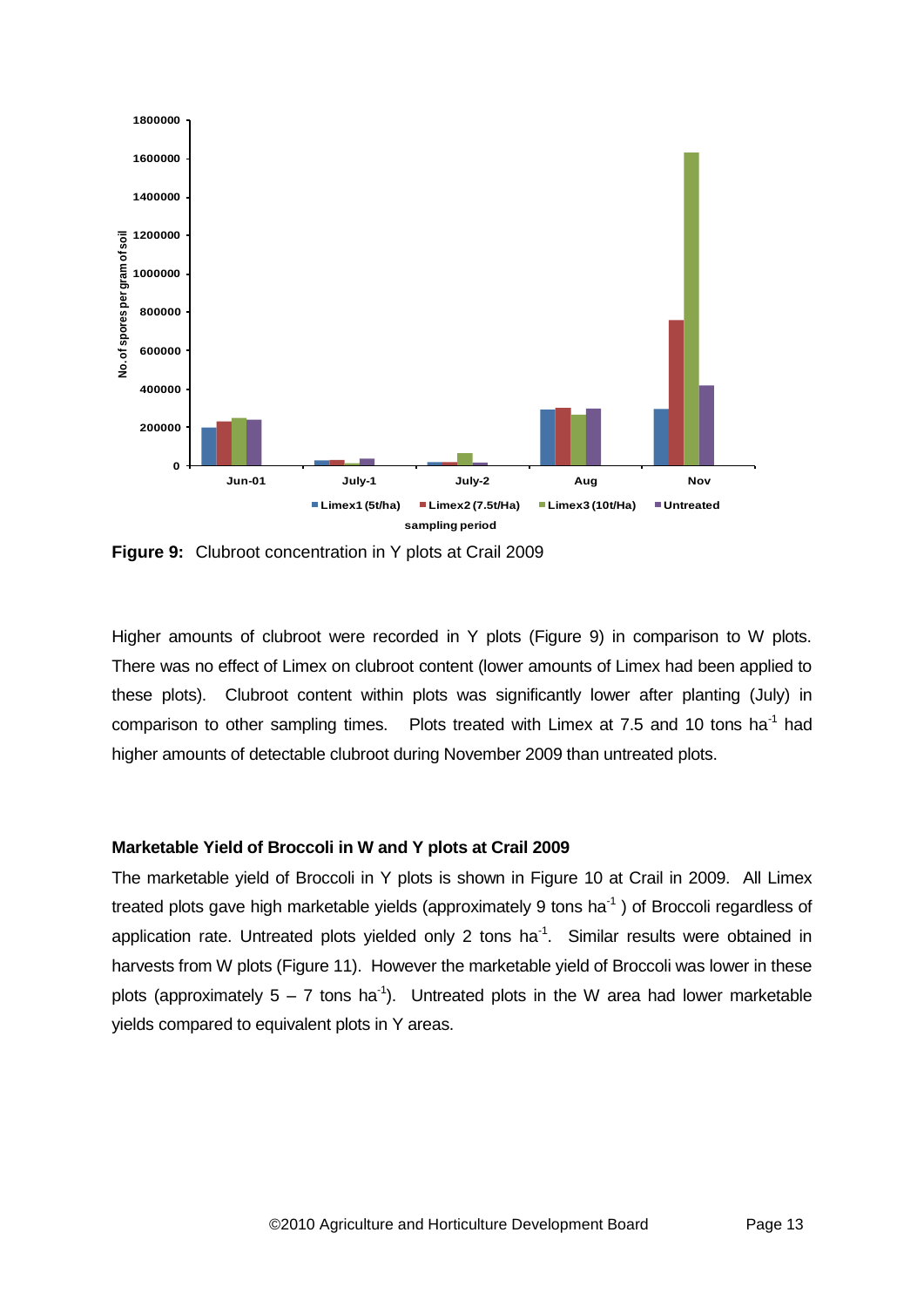

**Figure 9:** Clubroot concentration in Y plots at Crail 2009

Higher amounts of clubroot were recorded in Y plots (Figure 9) in comparison to W plots. There was no effect of Limex on clubroot content (lower amounts of Limex had been applied to these plots). Clubroot content within plots was significantly lower after planting (July) in comparison to other sampling times. Plots treated with Limex at 7.5 and 10 tons ha<sup>-1</sup> had higher amounts of detectable clubroot during November 2009 than untreated plots.

### **Marketable Yield of Broccoli in W and Y plots at Crail 2009**

The marketable yield of Broccoli in Y plots is shown in Figure 10 at Crail in 2009. All Limex treated plots gave high marketable yields (approximately 9 tons ha $^{-1}$ ) of Broccoli regardless of application rate. Untreated plots yielded only 2 tons ha $^{-1}$ . Similar results were obtained in harvests from W plots (Figure 11). However the marketable yield of Broccoli was lower in these plots (approximately  $5 - 7$  tons ha<sup>-1</sup>). Untreated plots in the W area had lower marketable yields compared to equivalent plots in Y areas.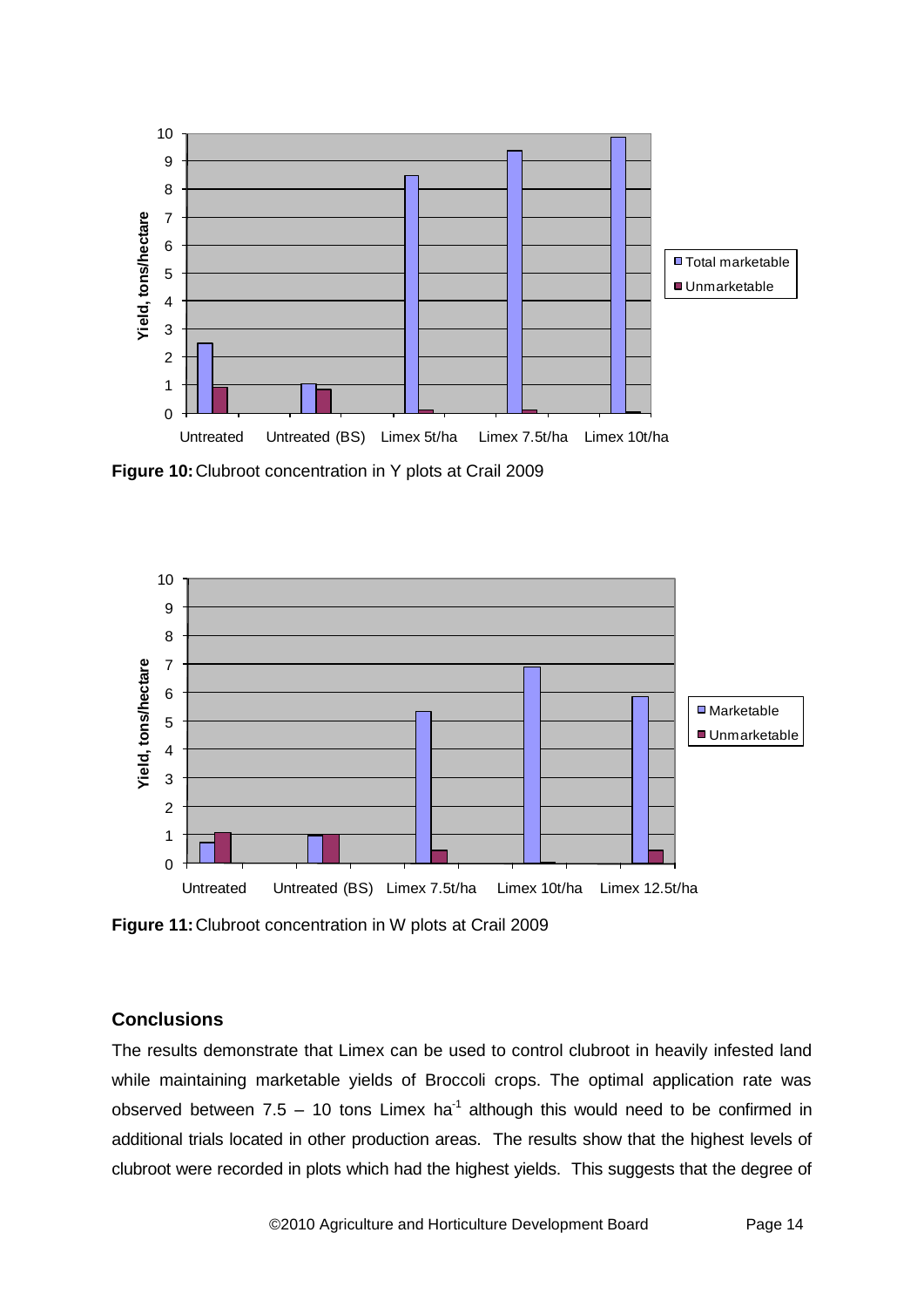

**Figure 10:**Clubroot concentration in Y plots at Crail 2009



**Figure 11:**Clubroot concentration in W plots at Crail 2009

## **Conclusions**

The results demonstrate that Limex can be used to control clubroot in heavily infested land while maintaining marketable yields of Broccoli crops. The optimal application rate was observed between 7.5 – 10 tons Limex ha<sup>-1</sup> although this would need to be confirmed in additional trials located in other production areas. The results show that the highest levels of clubroot were recorded in plots which had the highest yields. This suggests that the degree of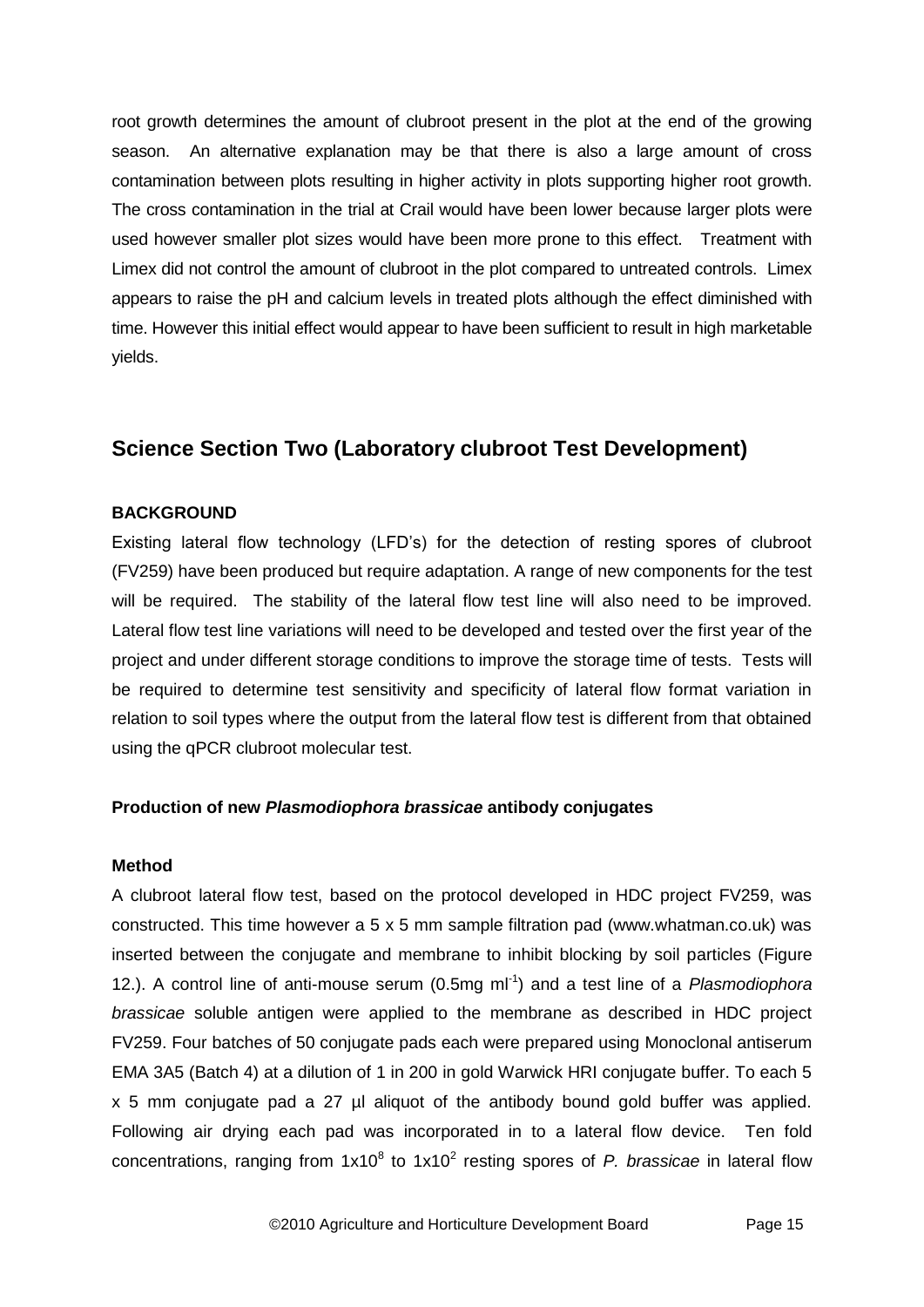root growth determines the amount of clubroot present in the plot at the end of the growing season. An alternative explanation may be that there is also a large amount of cross contamination between plots resulting in higher activity in plots supporting higher root growth. The cross contamination in the trial at Crail would have been lower because larger plots were used however smaller plot sizes would have been more prone to this effect. Treatment with Limex did not control the amount of clubroot in the plot compared to untreated controls. Limex appears to raise the pH and calcium levels in treated plots although the effect diminished with time. However this initial effect would appear to have been sufficient to result in high marketable yields.

# **Science Section Two (Laboratory clubroot Test Development)**

## **BACKGROUND**

Existing lateral flow technology (LFD's) for the detection of resting spores of clubroot (FV259) have been produced but require adaptation. A range of new components for the test will be required. The stability of the lateral flow test line will also need to be improved. Lateral flow test line variations will need to be developed and tested over the first year of the project and under different storage conditions to improve the storage time of tests. Tests will be required to determine test sensitivity and specificity of lateral flow format variation in relation to soil types where the output from the lateral flow test is different from that obtained using the qPCR clubroot molecular test.

### **Production of new** *Plasmodiophora brassicae* **antibody conjugates**

### **Method**

A clubroot lateral flow test, based on the protocol developed in HDC project FV259, was constructed. This time however a 5 x 5 mm sample filtration pad (www.whatman.co.uk) was inserted between the conjugate and membrane to inhibit blocking by soil particles (Figure 12.). A control line of anti-mouse serum (0.5mg ml<sup>-1</sup>) and a test line of a *Plasmodiophora brassicae* soluble antigen were applied to the membrane as described in HDC project FV259. Four batches of 50 conjugate pads each were prepared using Monoclonal antiserum EMA 3A5 (Batch 4) at a dilution of 1 in 200 in gold Warwick HRI conjugate buffer. To each 5 x 5 mm conjugate pad a 27 µl aliquot of the antibody bound gold buffer was applied. Following air drying each pad was incorporated in to a lateral flow device. Ten fold concentrations, ranging from  $1x10^8$  to  $1x10^2$  resting spores of *P. brassicae* in lateral flow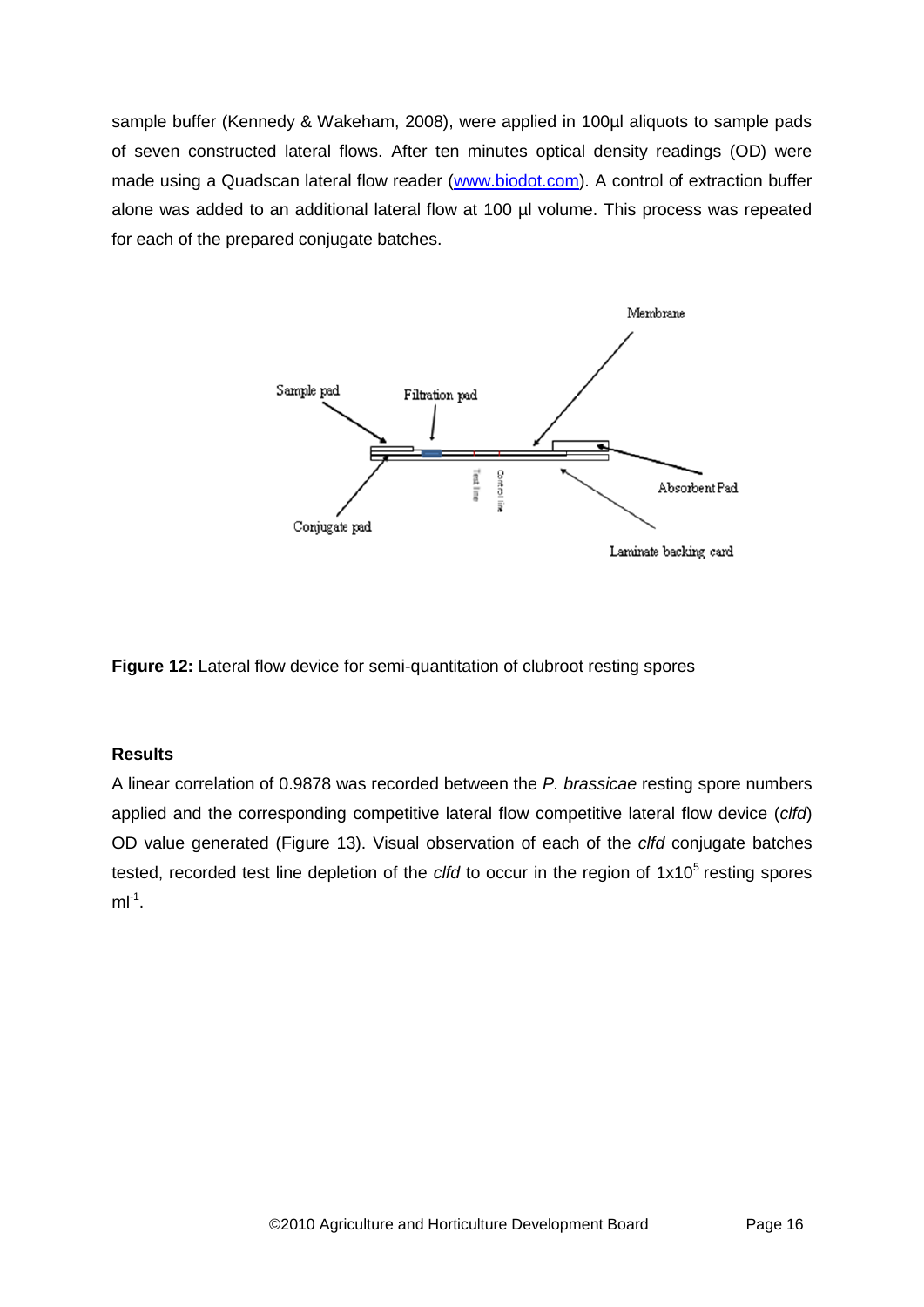sample buffer (Kennedy & Wakeham, 2008), were applied in 100µl aliquots to sample pads of seven constructed lateral flows. After ten minutes optical density readings (OD) were made using a Quadscan lateral flow reader [\(www.biodot.com\)](http://www.biodot.com/). A control of extraction buffer alone was added to an additional lateral flow at 100 µl volume. This process was repeated for each of the prepared conjugate batches.



**Figure 12:** Lateral flow device for semi-quantitation of clubroot resting spores

## **Results**

A linear correlation of 0.9878 was recorded between the *P. brassicae* resting spore numbers applied and the corresponding competitive lateral flow competitive lateral flow device (*clfd*) OD value generated (Figure 13). Visual observation of each of the *clfd* conjugate batches tested, recorded test line depletion of the *clfd* to occur in the region of 1x10<sup>5</sup> resting spores  $ml^{-1}$ .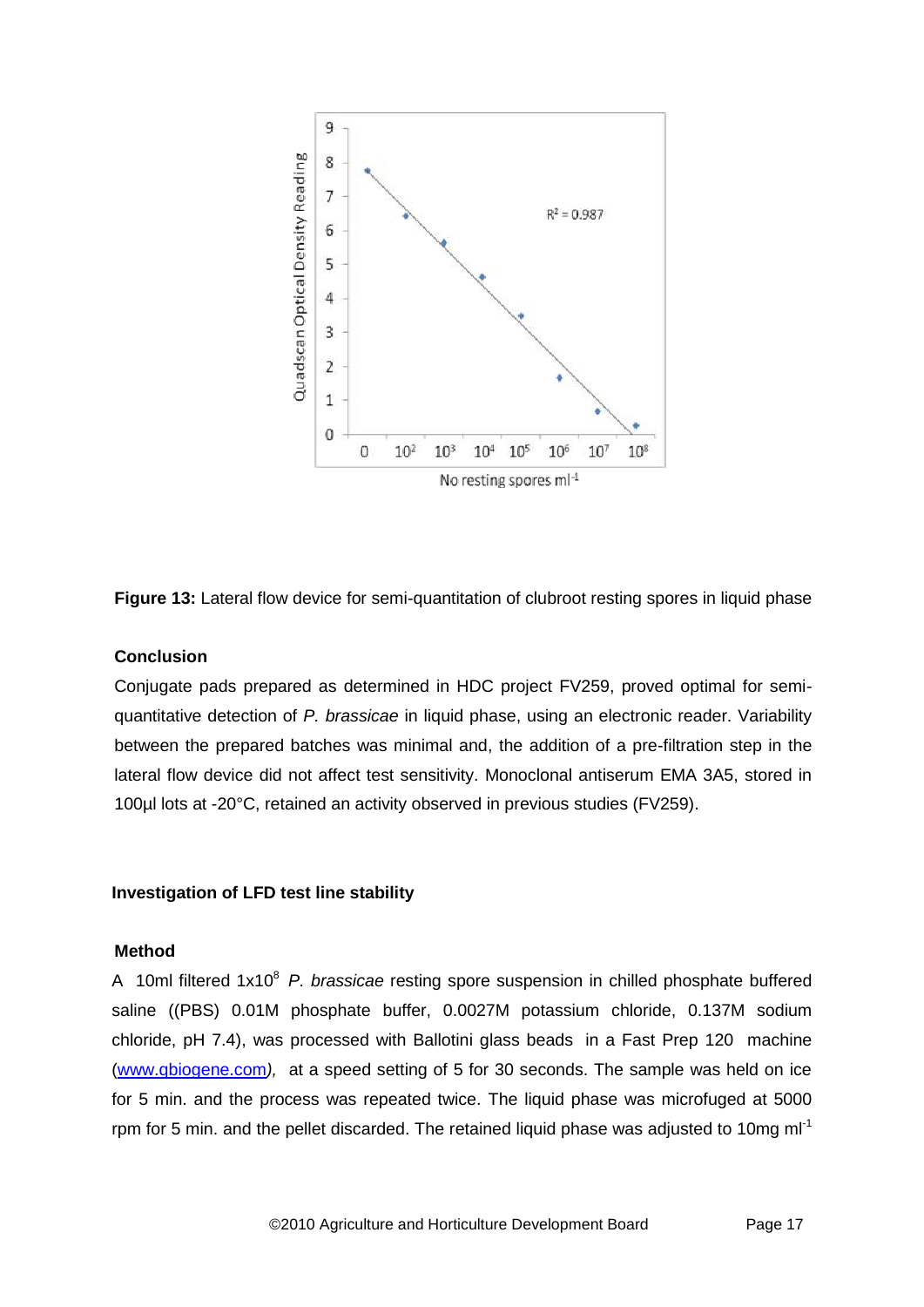



## **Conclusion**

Conjugate pads prepared as determined in HDC project FV259, proved optimal for semiquantitative detection of *P. brassicae* in liquid phase, using an electronic reader. Variability between the prepared batches was minimal and, the addition of a pre-filtration step in the lateral flow device did not affect test sensitivity. Monoclonal antiserum EMA 3A5, stored in 100µl lots at -20°C, retained an activity observed in previous studies (FV259).

### **Investigation of LFD test line stability**

### **Method**

A 10ml filtered 1x10<sup>8</sup> P. brassicae resting spore suspension in chilled phosphate buffered saline ((PBS) 0.01M phosphate buffer, 0.0027M potassium chloride, 0.137M sodium chloride, pH 7.4), was processed with Ballotini glass beads in a Fast Prep 120 machine [\(www.qbiogene.com](http://www.qbiogene.com/)*),* at a speed setting of 5 for 30 seconds. The sample was held on ice for 5 min. and the process was repeated twice. The liquid phase was microfuged at 5000 rpm for 5 min. and the pellet discarded. The retained liquid phase was adjusted to 10mg  $ml^{-1}$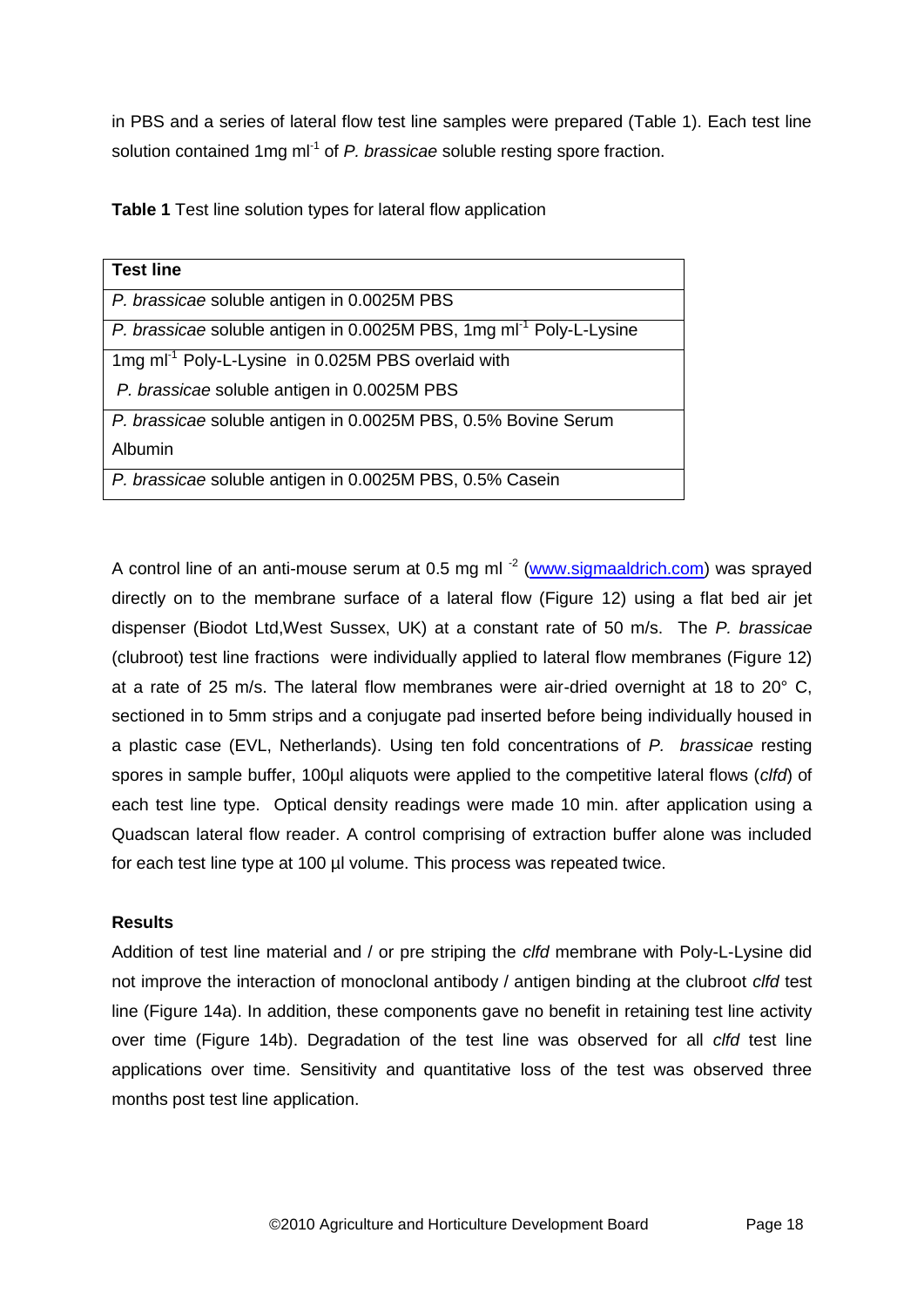in PBS and a series of lateral flow test line samples were prepared (Table 1). Each test line solution contained 1mg ml<sup>-1</sup> of P. brassicae soluble resting spore fraction.

**Table 1** Test line solution types for lateral flow application

| <b>Test line</b>                                                                |
|---------------------------------------------------------------------------------|
| P. brassicae soluble antigen in 0.0025M PBS                                     |
| P. brassicae soluble antigen in 0.0025M PBS, 1mg ml <sup>-1</sup> Poly-L-Lysine |
| 1mg ml <sup>-1</sup> Poly-L-Lysine in 0.025M PBS overlaid with                  |
| P. brassicae soluble antigen in 0.0025M PBS                                     |
| P. brassicae soluble antigen in 0.0025M PBS, 0.5% Bovine Serum                  |
| Albumin                                                                         |
| P. brassicae soluble antigen in 0.0025M PBS, 0.5% Casein                        |

A control line of an anti-mouse serum at 0.5 mg ml<sup>-2</sup> [\(www.sigmaaldrich.com\)](http://www.sigmaaldrich.com/) was sprayed directly on to the membrane surface of a lateral flow (Figure 12) using a flat bed air jet dispenser (Biodot Ltd,West Sussex, UK) at a constant rate of 50 m/s. The *P. brassicae* (clubroot) test line fractions were individually applied to lateral flow membranes (Figure 12) at a rate of 25 m/s. The lateral flow membranes were air-dried overnight at 18 to 20° C, sectioned in to 5mm strips and a conjugate pad inserted before being individually housed in a plastic case (EVL, Netherlands). Using ten fold concentrations of *P. brassicae* resting spores in sample buffer, 100µl aliquots were applied to the competitive lateral flows (*clfd*) of each test line type. Optical density readings were made 10 min. after application using a Quadscan lateral flow reader. A control comprising of extraction buffer alone was included for each test line type at 100 µl volume. This process was repeated twice.

## **Results**

Addition of test line material and / or pre striping the *clfd* membrane with Poly-L-Lysine did not improve the interaction of monoclonal antibody / antigen binding at the clubroot *clfd* test line (Figure 14a). In addition, these components gave no benefit in retaining test line activity over time (Figure 14b). Degradation of the test line was observed for all *clfd* test line applications over time. Sensitivity and quantitative loss of the test was observed three months post test line application.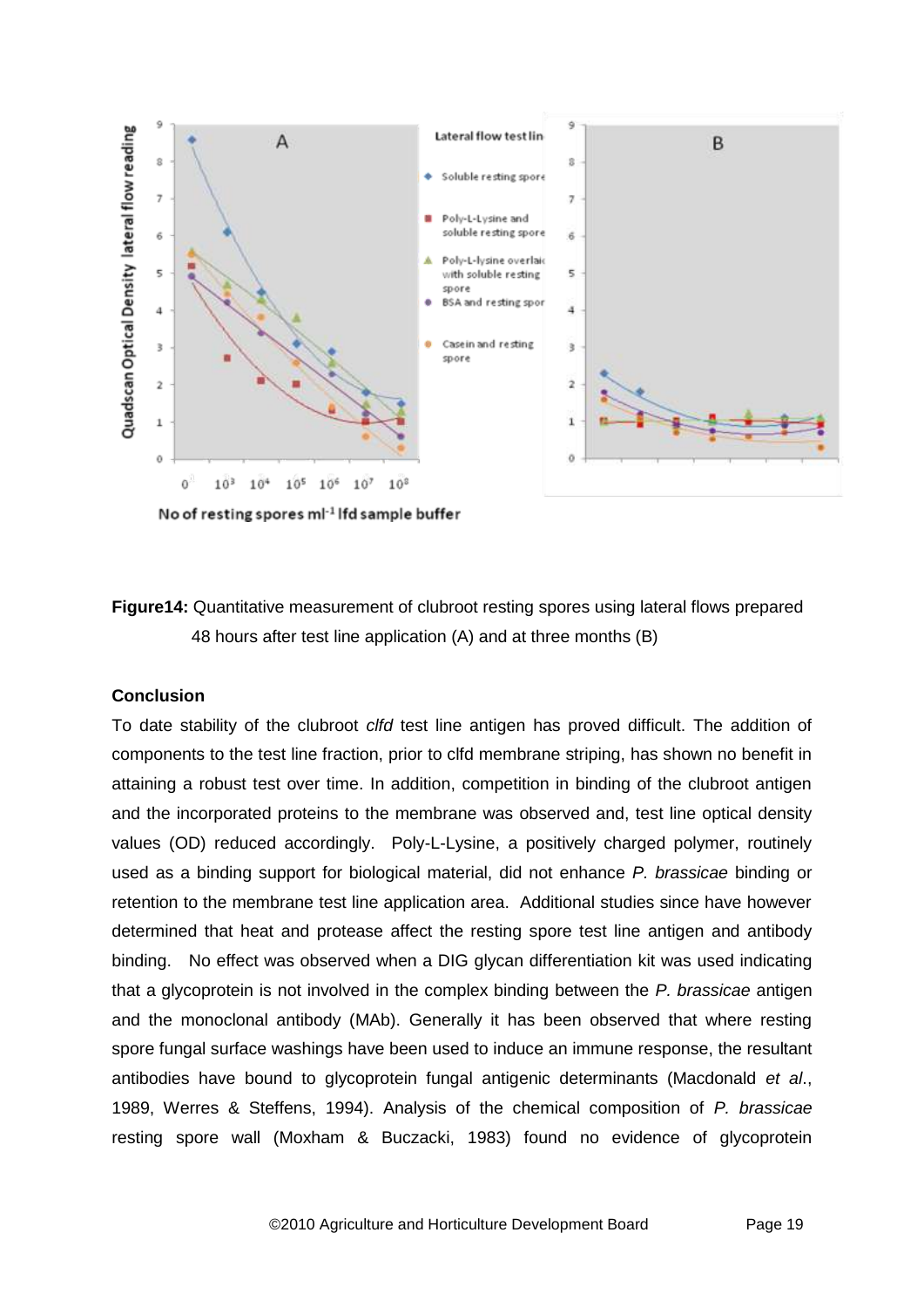

No of resting spores ml<sup>-1</sup> lfd sample buffer



### **Conclusion**

To date stability of the clubroot *clfd* test line antigen has proved difficult. The addition of components to the test line fraction, prior to clfd membrane striping, has shown no benefit in attaining a robust test over time. In addition, competition in binding of the clubroot antigen and the incorporated proteins to the membrane was observed and, test line optical density values (OD) reduced accordingly. Poly-L-Lysine, a positively charged polymer, routinely used as a binding support for biological material, did not enhance *P. brassicae* binding or retention to the membrane test line application area. Additional studies since have however determined that heat and protease affect the resting spore test line antigen and antibody binding. No effect was observed when a DIG glycan differentiation kit was used indicating that a glycoprotein is not involved in the complex binding between the *P. brassicae* antigen and the monoclonal antibody (MAb). Generally it has been observed that where resting spore fungal surface washings have been used to induce an immune response, the resultant antibodies have bound to glycoprotein fungal antigenic determinants (Macdonald *et al*., 1989, Werres & Steffens, 1994). Analysis of the chemical composition of *P. brassicae* resting spore wall (Moxham & Buczacki, 1983) found no evidence of glycoprotein